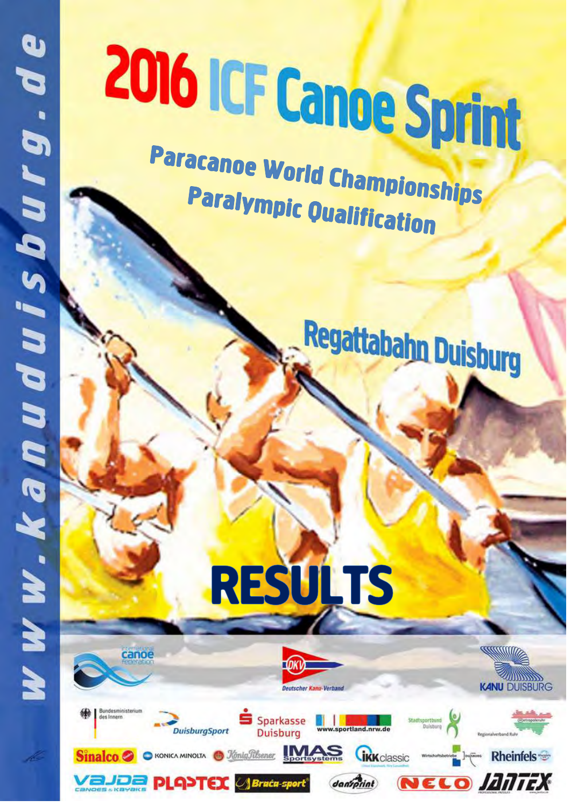canoe

# 2016 ICF Canoe Sprint

Paracanoe World Championships **Paralympic Qualification** 







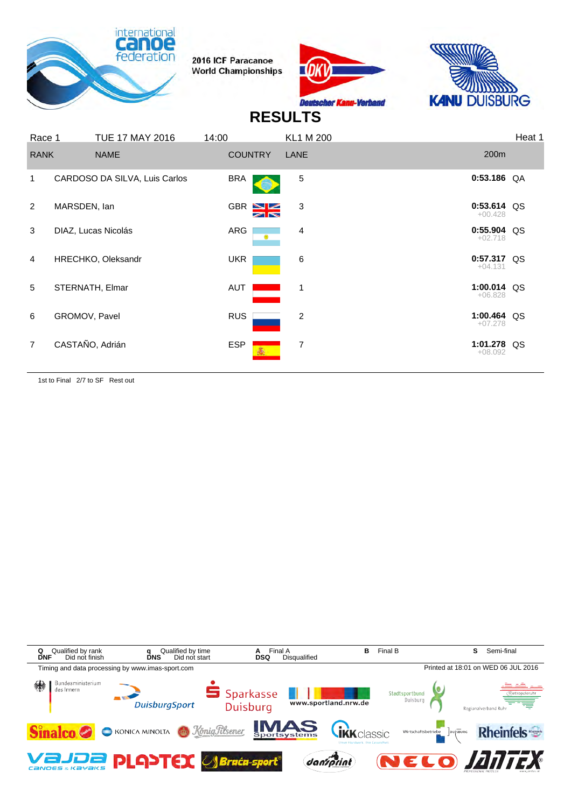





#### **RESULTS**

| Race 1         |                     | <b>TUE 17 MAY 2016</b>        | 14:00      |                                | <b>KL1 M 200</b> |                            | Heat 1 |
|----------------|---------------------|-------------------------------|------------|--------------------------------|------------------|----------------------------|--------|
| <b>RANK</b>    |                     | <b>NAME</b>                   |            | <b>COUNTRY</b>                 | LANE             | 200m                       |        |
| 1              |                     | CARDOSO DA SILVA, Luis Carlos | <b>BRA</b> |                                | $\,$ 5 $\,$      | $0:53.186$ QA              |        |
| 2              | MARSDEN, lan        |                               |            | $GBR \geq 2$<br>$\blacksquare$ | 3                | $0:53.614$ QS<br>$+00.428$ |        |
| 3              | DIAZ, Lucas Nicolás |                               | ARG        | ۳                              | 4                | 0:55.904 QS<br>$+02.718$   |        |
| $\overline{4}$ | HRECHKO, Oleksandr  |                               | <b>UKR</b> |                                | 6                | $0:57.317$ QS<br>$+04.131$ |        |
| 5              | STERNATH, Elmar     |                               | AUT        |                                | $\mathbf 1$      | 1:00.014 QS<br>$+06.828$   |        |
| 6              | GROMOV, Pavel       |                               | <b>RUS</b> |                                | 2                | 1:00.464 QS<br>$+07.278$   |        |
| $\overline{7}$ | CASTAÑO, Adrián     |                               | <b>ESP</b> |                                | 7                | 1:01.278 QS<br>$+08.092$   |        |
|                |                     |                               |            |                                |                  |                            |        |

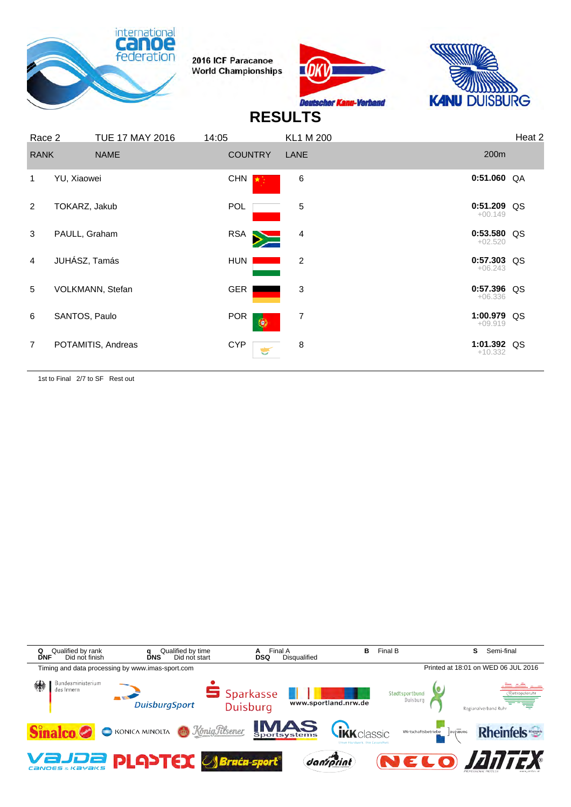





# **RESULTS**

| Race 2         |               | <b>TUE 17 MAY 2016</b> | 14:05          | <b>KL1 M 200</b> |                            | Heat 2 |
|----------------|---------------|------------------------|----------------|------------------|----------------------------|--------|
| <b>RANK</b>    |               | <b>NAME</b>            | <b>COUNTRY</b> | LANE             | 200m                       |        |
| 1              | YU, Xiaowei   |                        | <b>CHN</b>     | $\,6\,$          | $0:51.060$ QA              |        |
| 2              | TOKARZ, Jakub |                        | <b>POL</b>     | 5                | 0:51.209 QS<br>$+00.149$   |        |
| 3              | PAULL, Graham |                        | RSA <b>N</b>   | 4                | $0:53.580$ QS<br>$+02.520$ |        |
| 4              | JUHÁSZ, Tamás |                        | HUN I          | 2                | $0:57.303$ QS<br>$+06.243$ |        |
| 5              |               | VOLKMANN, Stefan       | GER            | 3                | 0:57.396 QS<br>$+06.336$   |        |
| 6              | SANTOS, Paulo |                        | <b>POR</b>     | 7<br>۱           | 1:00.979 QS<br>$+09.919$   |        |
| $\overline{7}$ |               | POTAMITIS, Andreas     | <b>CYP</b>     | 8                | 1:01.392 QS<br>$+10.332$   |        |

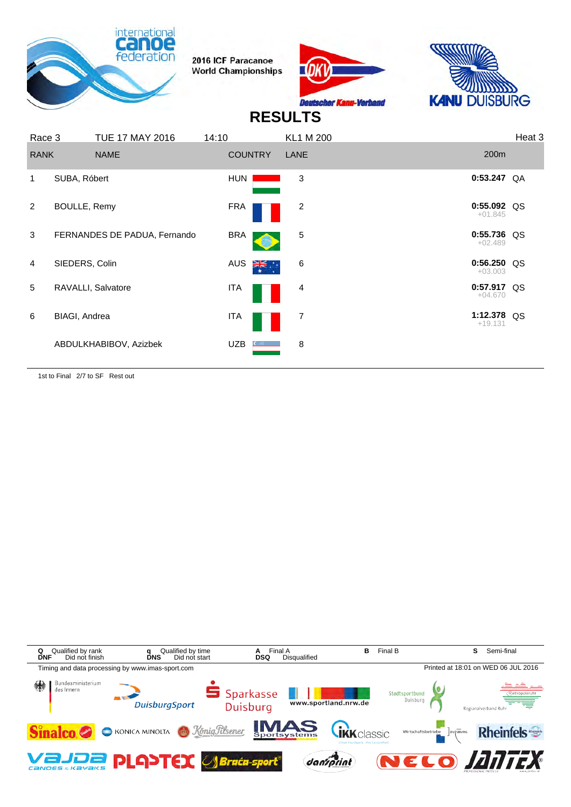





#### **RESULTS**

| Race 3         |                      | <b>TUE 17 MAY 2016</b>       | 14:10          | <b>KL1 M 200</b> |                            | Heat 3 |
|----------------|----------------------|------------------------------|----------------|------------------|----------------------------|--------|
| <b>RANK</b>    |                      | <b>NAME</b>                  | <b>COUNTRY</b> | LANE             | 200 <sub>m</sub>           |        |
| 1              | SUBA, Róbert         |                              | <b>HUN</b>     | 3                | 0:53.247                   | QA     |
| $\overline{2}$ | <b>BOULLE, Remy</b>  |                              | <b>FRA</b>     | 2                | 0:55.092 QS<br>$+01.845$   |        |
| 3              |                      | FERNANDES DE PADUA, Fernando | <b>BRA</b>     | 5                | $0:55.736$ QS<br>$+02.489$ |        |
| $\overline{4}$ | SIEDERS, Colin       |                              | AUS<br>⋛⋛      | 6                | $0:56.250$ QS<br>$+03.003$ |        |
| 5              |                      | RAVALLI, Salvatore           | ITA            | 4                | $0:57.917$ QS<br>$+04.670$ |        |
| 6              | <b>BIAGI, Andrea</b> |                              | ITA            | 7                | 1:12.378 QS<br>$+19.131$   |        |
|                |                      | ABDULKHABIBOV, Azizbek       | <b>UZB</b>     | 8                |                            |        |

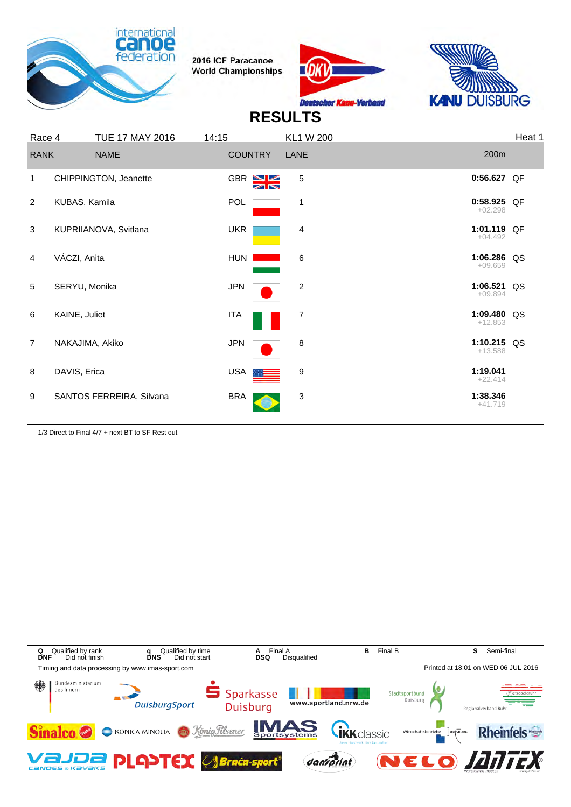





## **RESULTS**

| Race 4         |                       | <b>TUE 17 MAY 2016</b>   | 14:15          |                                     | <b>KL1 W 200</b> |                          | Heat 1 |
|----------------|-----------------------|--------------------------|----------------|-------------------------------------|------------------|--------------------------|--------|
| <b>RANK</b>    |                       | <b>NAME</b>              | <b>COUNTRY</b> |                                     | LANE             | 200m                     |        |
| 1              | CHIPPINGTON, Jeanette |                          |                | GBR <sup>NZ</sup><br>$\blacksquare$ | 5                | 0:56.627 QF              |        |
| 2              | KUBAS, Kamila         |                          | POL            |                                     | 1                | 0:58.925 QF<br>$+02.298$ |        |
| $\mathbf{3}$   | KUPRIIANOVA, Svitlana |                          | <b>UKR</b>     |                                     | 4                | 1:01.119 QF<br>$+04.492$ |        |
| 4              | VÁCZI, Anita          |                          | HUN            |                                     | 6                | 1:06.286 QS<br>$+09.659$ |        |
| 5              | SERYU, Monika         |                          | <b>JPN</b>     |                                     | 2                | 1:06.521 QS<br>$+09.894$ |        |
| 6              | KAINE, Juliet         |                          | <b>ITA</b>     |                                     | 7                | 1:09.480 QS<br>$+12.853$ |        |
| $\overline{7}$ | NAKAJIMA, Akiko       |                          | <b>JPN</b>     |                                     | 8                | 1:10.215 QS<br>$+13.588$ |        |
| 8              | DAVIS, Erica          |                          | USA            |                                     | 9                | 1:19.041<br>$+22.414$    |        |
| 9              |                       | SANTOS FERREIRA, Silvana | <b>BRA</b>     |                                     | 3                | 1:38.346<br>$+41.719$    |        |
|                |                       |                          |                |                                     |                  |                          |        |

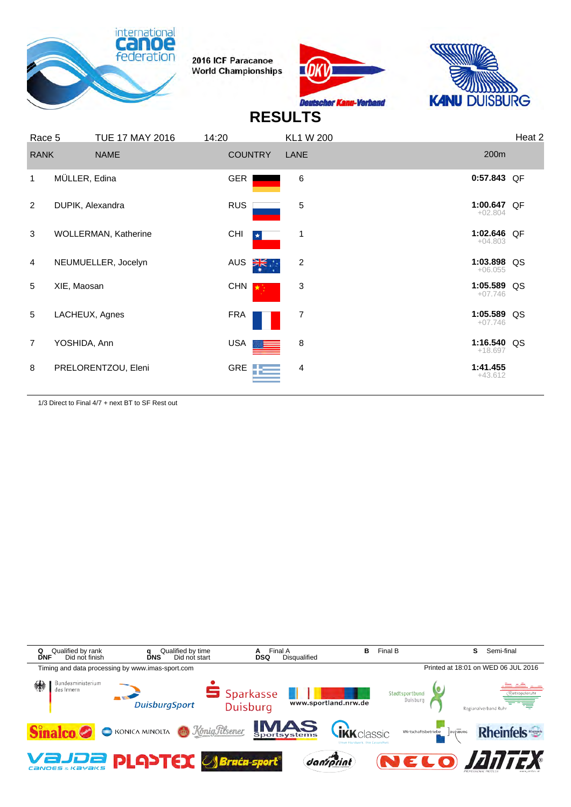





# **RESULTS**

| Race 5         |                  | <b>TUE 17 MAY 2016</b>      | 14:20      |                | <b>KL1 W 200</b> |                          | Heat 2 |
|----------------|------------------|-----------------------------|------------|----------------|------------------|--------------------------|--------|
| <b>RANK</b>    |                  | <b>NAME</b>                 |            | <b>COUNTRY</b> | LANE             | 200 <sub>m</sub>         |        |
| $\mathbf 1$    | MÜLLER, Edina    |                             | <b>GER</b> |                | 6                | 0:57.843 QF              |        |
| $\overline{2}$ | DUPIK, Alexandra |                             | <b>RUS</b> |                | 5                | 1:00.647 QF<br>$+02.804$ |        |
| 3              |                  | <b>WOLLERMAN, Katherine</b> | <b>CHI</b> | $\star$        | $\overline{1}$   | 1:02.646 QF<br>$+04.803$ |        |
| $\overline{4}$ |                  | NEUMUELLER, Jocelyn         | AUS        | ৰ্ী্≍          | 2                | 1:03.898 QS<br>$+06.055$ |        |
| 5              | XIE, Maosan      |                             | <b>CHN</b> |                | 3                | 1:05.589 QS<br>$+07.746$ |        |
| 5              | LACHEUX, Agnes   |                             | <b>FRA</b> |                | 7                | 1:05.589 QS<br>$+07.746$ |        |
| $\overline{7}$ | YOSHIDA, Ann     |                             | USA        |                | 8                | 1:16.540 QS<br>$+18.697$ |        |
| 8              |                  | PRELORENTZOU, Eleni         |            | GRE <b>TE</b>  | 4                | 1:41.455<br>$+43.612$    |        |

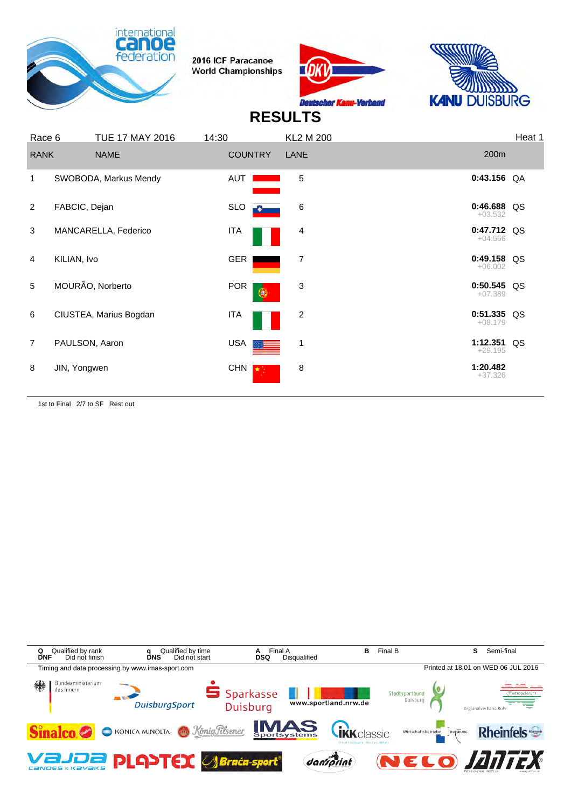





## **RESULTS**

| Race 6         | <b>TUE 17 MAY 2016</b> | 14:30      | <b>KL2 M 200</b>       |                            | Heat 1 |
|----------------|------------------------|------------|------------------------|----------------------------|--------|
| <b>RANK</b>    | <b>NAME</b>            |            | <b>COUNTRY</b><br>LANE | 200m                       |        |
| 1              | SWOBODA, Markus Mendy  | AUT        | 5                      | $0:43.156$ QA              |        |
| 2              | FABCIC, Dejan          | <b>SLO</b> | $\,6$<br>ю             | 0:46.688 QS<br>$+03.532$   |        |
| 3              | MANCARELLA, Federico   | <b>ITA</b> | 4                      | 0:47.712 QS<br>$+04.556$   |        |
| $\overline{4}$ | KILIAN, Ivo            | GER        | 7                      | $0:49.158$ QS<br>$+06.002$ |        |
| 5              | MOURÃO, Norberto       | <b>POR</b> | 3<br>۵                 | $0:50.545$ QS<br>$+07.389$ |        |
| 6              | CIUSTEA, Marius Bogdan | <b>ITA</b> | 2                      | $0:51.335$ QS<br>$+08.179$ |        |
| $\overline{7}$ | PAULSON, Aaron         | USA        | 1                      | 1:12.351 QS<br>$+29.195$   |        |
| 8              | JIN, Yongwen           | <b>CHN</b> | 8                      | 1:20.482<br>$+37.326$      |        |

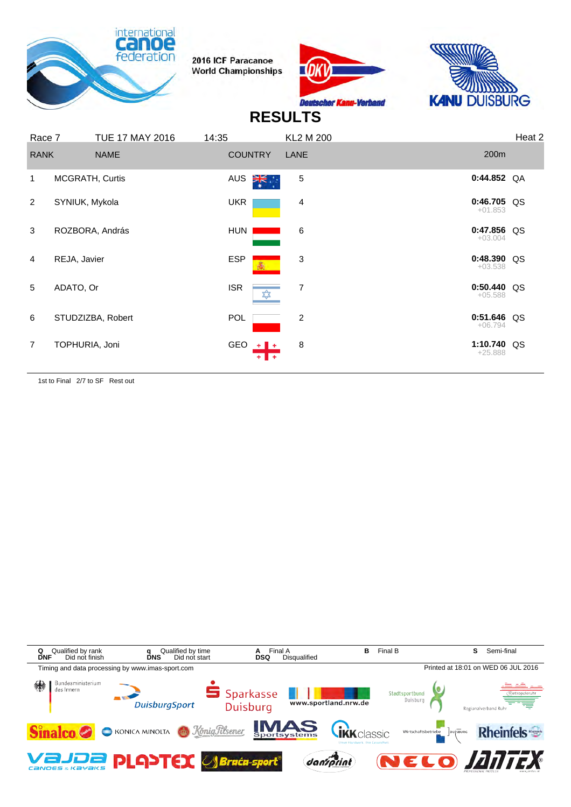





# **RESULTS**

| Race 7         |                 | <b>TUE 17 MAY 2016</b> | 14:35      |                | <b>KL2 M 200</b> |                            | Heat 2 |
|----------------|-----------------|------------------------|------------|----------------|------------------|----------------------------|--------|
| <b>RANK</b>    |                 | <b>NAME</b>            |            | <b>COUNTRY</b> | LANE             | 200m                       |        |
| 1              | MCGRATH, Curtis |                        | AUS        | ∛≍ँ            | 5                | $0:44.852$ QA              |        |
| $\overline{2}$ | SYNIUK, Mykola  |                        | <b>UKR</b> |                | 4                | $0:46.705$ QS<br>$+01.853$ |        |
| 3              | ROZBORA, András |                        | HUN        |                | 6                | 0:47.856 QS<br>$+03.004$   |        |
| 4              | REJA, Javier    |                        | <b>ESP</b> |                | 3                | $0:48.390$ QS<br>$+03.538$ |        |
| 5              | ADATO, Or       |                        | <b>ISR</b> | ₩              | 7                | $0:50.440$ QS<br>$+05.588$ |        |
| 6              |                 | STUDZIZBA, Robert      | <b>POL</b> |                | $\overline{2}$   | 0:51.646 QS<br>$+06.794$   |        |
| $\overline{7}$ | TOPHURIA, Joni  |                        |            | GEO $+$        | 8                | 1:10.740 QS<br>$+25.888$   |        |

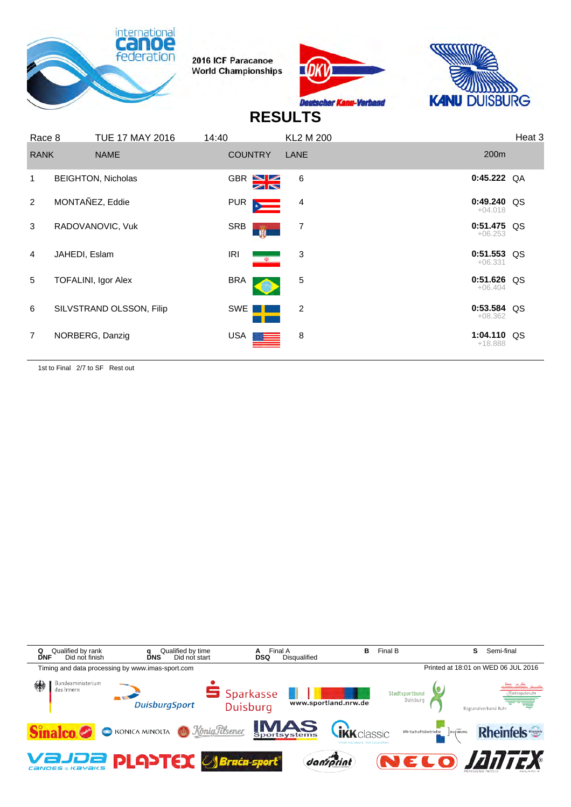





## **RESULTS**

| <b>RANK</b>    | <b>NAME</b>                | <b>COUNTRY</b>                                                               | LANE           | 200 <sub>m</sub>           |  |
|----------------|----------------------------|------------------------------------------------------------------------------|----------------|----------------------------|--|
| 1              | <b>BEIGHTON, Nicholas</b>  | GBR NE                                                                       | 6              | $0:45.222$ QA              |  |
| $\mathcal{P}$  | MONTAÑEZ, Eddie            | PUR<br>$\frac{1}{2}$                                                         | $\overline{4}$ | $0:49.240$ QS<br>$+04.018$ |  |
| 3              | RADOVANOVIC, Vuk           | SRB<br>Ŵ                                                                     | 7              | $0:51.475$ QS<br>$+06.253$ |  |
| 4              | JAHEDI, Eslam              | IRI<br>$\frac{\partial}{\partial \theta} = \frac{\partial}{\partial \theta}$ | 3              | $0:51.553$ QS<br>$+06.331$ |  |
| 5              | <b>TOFALINI, Igor Alex</b> | <b>BRA</b>                                                                   | 5              | $0:51.626$ QS<br>$+06.404$ |  |
| 6              | SILVSTRAND OLSSON, Filip   | SWE                                                                          | 2              | $0:53.584$ QS<br>$+08.362$ |  |
| $\overline{7}$ | NORBERG, Danzig            | USA <b>I</b>                                                                 | 8              | 1:04.110 QS<br>$+18.888$   |  |

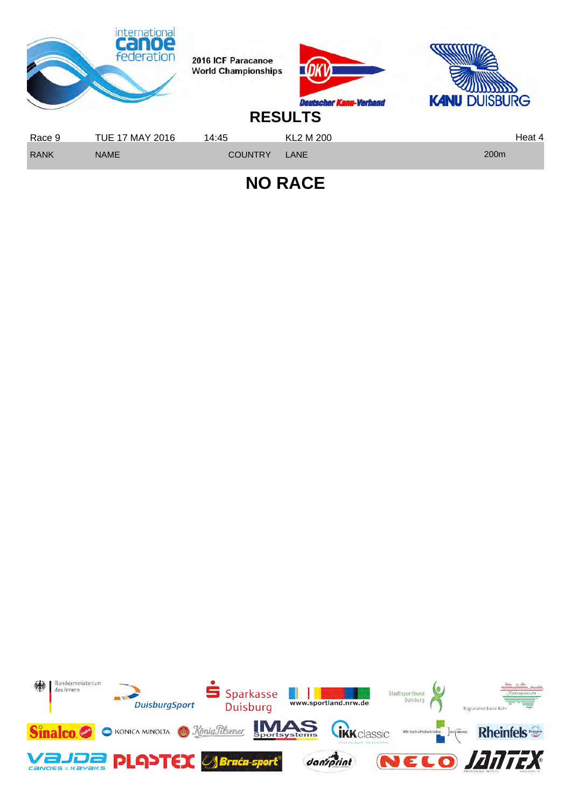

**NO RACE**

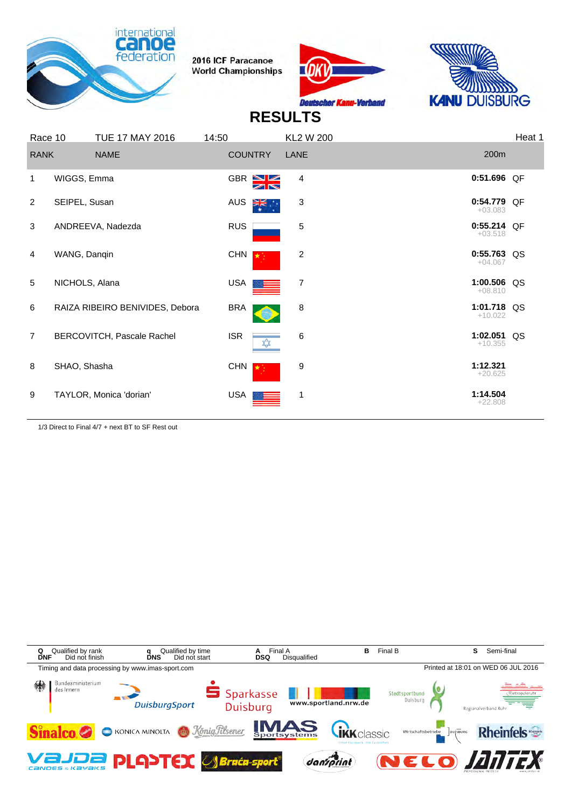





## **RESULTS**

| Race 10        |                | <b>TUE 17 MAY 2016</b>          | 14:50      |                              | <b>KL2 W 200</b> |                            | Heat 1 |
|----------------|----------------|---------------------------------|------------|------------------------------|------------------|----------------------------|--------|
| <b>RANK</b>    |                | <b>NAME</b>                     |            | <b>COUNTRY</b>               | LANE             | 200m                       |        |
| 1              | WIGGS, Emma    |                                 |            | $GBR$ $NZ$<br>$\blacksquare$ | 4                | 0:51.696 QF                |        |
| 2              | SEIPEL, Susan  |                                 | AUS        | ≹∺                           | 3                | 0:54.779 QF<br>$+03.083$   |        |
| 3              |                | ANDREEVA, Nadezda               | <b>RUS</b> |                              | 5                | $0:55.214$ OF<br>$+03.518$ |        |
| 4              | WANG, Danqin   |                                 | <b>CHN</b> |                              | 2                | 0:55.763 QS<br>$+04.067$   |        |
| 5              | NICHOLS, Alana |                                 | <b>USA</b> |                              | 7                | 1:00.506 QS<br>$+08.810$   |        |
| 6              |                | RAIZA RIBEIRO BENIVIDES, Debora | <b>BRA</b> |                              | 8                | 1:01.718 QS<br>$+10.022$   |        |
| $\overline{7}$ |                | BERCOVITCH, Pascale Rachel      | <b>ISR</b> | ☆                            | 6                | 1:02.051 QS<br>$+10.355$   |        |
| 8              | SHAO, Shasha   |                                 | <b>CHN</b> |                              | 9                | 1:12.321<br>$+20.625$      |        |
| 9              |                | TAYLOR, Monica 'dorian'         | USA        |                              | 1                | 1:14.504<br>$+22.808$      |        |
|                |                |                                 |            |                              |                  |                            |        |

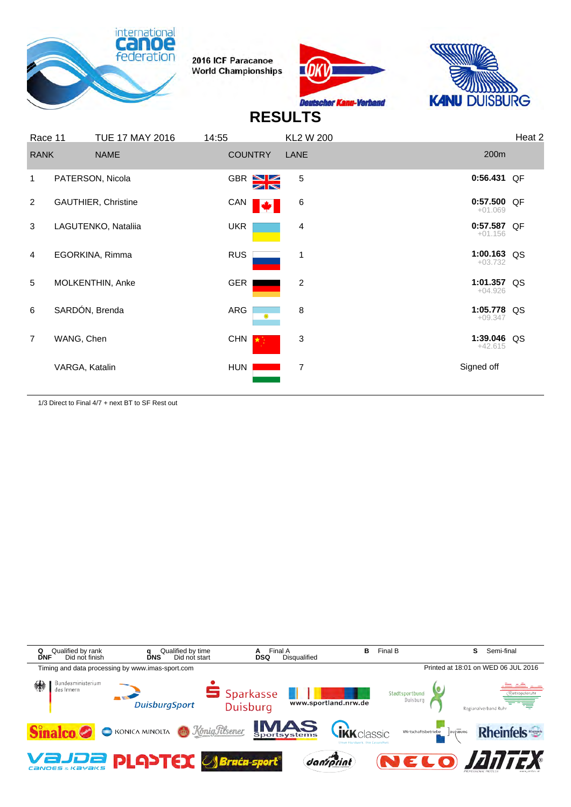





# **RESULTS**

| Race 11        |                | <b>TUE 17 MAY 2016</b>     | 14:55      |                                            | <b>KL2 W 200</b> |                            | Heat 2 |
|----------------|----------------|----------------------------|------------|--------------------------------------------|------------------|----------------------------|--------|
| <b>RANK</b>    |                | <b>NAME</b>                |            | <b>COUNTRY</b>                             | LANE             | 200 <sub>m</sub>           |        |
| 1              |                | PATERSON, Nicola           |            | GBR <sup>NZ</sup><br>$\blacktriangleright$ | 5                | 0:56.431 QF                |        |
| 2              |                | <b>GAUTHIER, Christine</b> | CAN        |                                            | 6                | $0:57.500$ QF<br>$+01.069$ |        |
| 3              |                | LAGUTENKO, Nataliia        | <b>UKR</b> |                                            | 4                | $0:57.587$ QF<br>$+01.156$ |        |
| 4              |                | EGORKINA, Rimma            | <b>RUS</b> |                                            | 1                | 1:00.163 QS<br>$+03.732$   |        |
| 5              |                | MOLKENTHIN, Anke           | GER        |                                            | 2                | 1:01.357 QS<br>$+04.926$   |        |
| 6              | SARDÓN, Brenda |                            | ARG        | $^{\circ}$                                 | 8                | 1:05.778 QS<br>$+09.347$   |        |
| $\overline{7}$ | WANG, Chen     |                            | CHN        | $\star$                                    | 3                | 1:39.046 QS<br>$+42.615$   |        |
|                | VARGA, Katalin |                            | HUN        |                                            | 7                | Signed off                 |        |

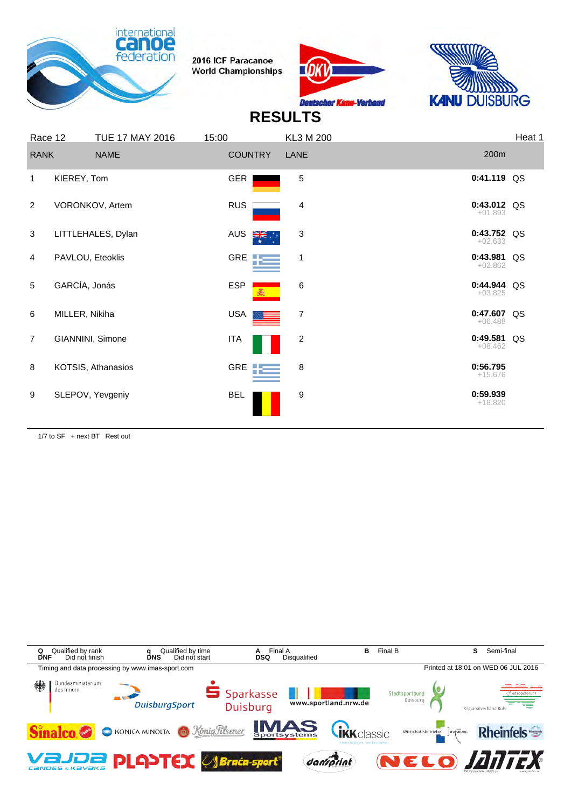





# **RESULTS**

| Race 12        |                  | <b>TUE 17 MAY 2016</b> | 15:00        |                | KL3 M 200 |                            | Heat 1 |
|----------------|------------------|------------------------|--------------|----------------|-----------|----------------------------|--------|
| <b>RANK</b>    |                  | <b>NAME</b>            |              | <b>COUNTRY</b> | LANE      | 200m                       |        |
| 1              | KIEREY, Tom      |                        | <b>GER</b>   |                | 5         | 0:41.119 QS                |        |
| 2              |                  | VORONKOV, Artem        | <b>RUS</b>   |                | 4         | $0:43.012$ QS<br>$+01.893$ |        |
| 3              |                  | LITTLEHALES, Dylan     | AUS          | ∛≍ं            | 3         | 0:43.752 QS<br>$+02.633$   |        |
| 4              | PAVLOU, Eteoklis |                        |              | GRE <b>TE</b>  | 1         | 0:43.981 QS<br>$+02.862$   |        |
| 5              | GARCÍA, Jonás    |                        | <b>ESP</b>   |                | 6         | 0:44.944 QS<br>$+03.825$   |        |
| 6              | MILLER, Nikiha   |                        | USA          |                | 7         | 0:47.607 QS<br>$+06.488$   |        |
| $\overline{7}$ |                  | GIANNINI, Simone       | <b>ITA</b>   |                | 2         | 0:49.581 QS<br>$+08.462$   |        |
| 8              |                  | KOTSIS, Athanasios     | GRE <b>T</b> |                | 8         | 0:56.795<br>$+15.676$      |        |
| 9              |                  | SLEPOV, Yevgeniy       | <b>BEL</b>   |                | 9         | 0:59.939<br>$+18.820$      |        |
|                |                  |                        |              |                |           |                            |        |

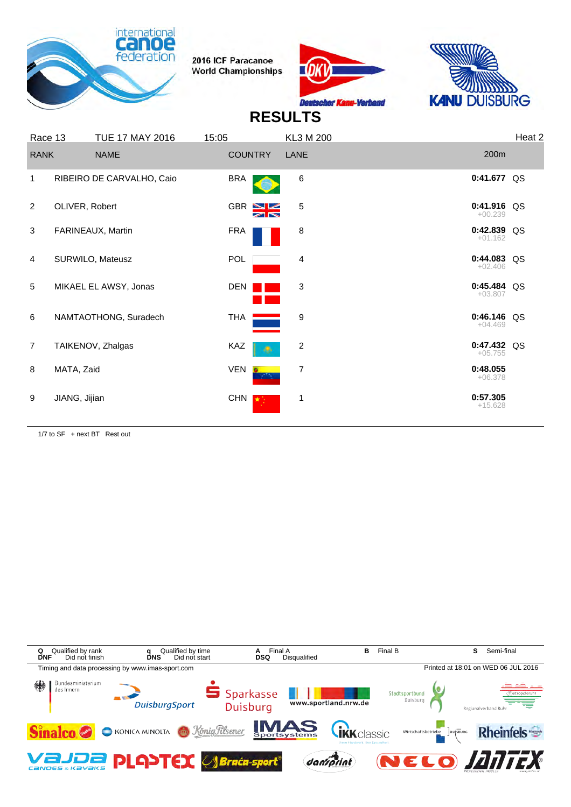





## **RESULTS**

| Race 13        |                | <b>TUE 17 MAY 2016</b>    | 15:05                                                                     | KL3 M 200      |                            | Heat <sub>2</sub> |
|----------------|----------------|---------------------------|---------------------------------------------------------------------------|----------------|----------------------------|-------------------|
| <b>RANK</b>    |                | <b>NAME</b>               | <b>COUNTRY</b>                                                            | LANE           | 200 <sub>m</sub>           |                   |
| 1              |                | RIBEIRO DE CARVALHO, Caio | <b>BRA</b>                                                                | 6              | 0:41.677 QS                |                   |
| 2              | OLIVER, Robert |                           | GBR N                                                                     | 5              | $0:41.916$ QS<br>$+00.239$ |                   |
| 3              |                | FARINEAUX, Martin         | FRA                                                                       | 8              | 0:42.839 QS<br>$+01.162$   |                   |
| 4              |                | SURWILO, Mateusz          | POL                                                                       | 4              | 0:44.083 QS<br>$+02.406$   |                   |
| 5              |                | MIKAEL EL AWSY, Jonas     | <b>DEN</b>                                                                | 3              | $0:45.484$ QS<br>$+03.807$ |                   |
| 6              |                | NAMTAOTHONG, Suradech     | THA                                                                       | 9              | $0:46.146$ QS<br>$+04.469$ |                   |
| $\overline{7}$ |                | TAIKENOV, Zhalgas         | KAZ<br>۰                                                                  | 2              | $0:47.432$ QS<br>$+05.755$ |                   |
| 8              | MATA, Zaid     |                           | <b>VEN</b><br>$\mathcal{L}_{\mathcal{A}}$ and $\mathcal{L}_{\mathcal{A}}$ | $\overline{7}$ | 0:48.055<br>$+06.378$      |                   |
| 9              | JIANG, Jijian  |                           | CHN  <br><b>TA</b>                                                        | 1              | 0:57.305<br>$+15.628$      |                   |
|                |                |                           |                                                                           |                |                            |                   |

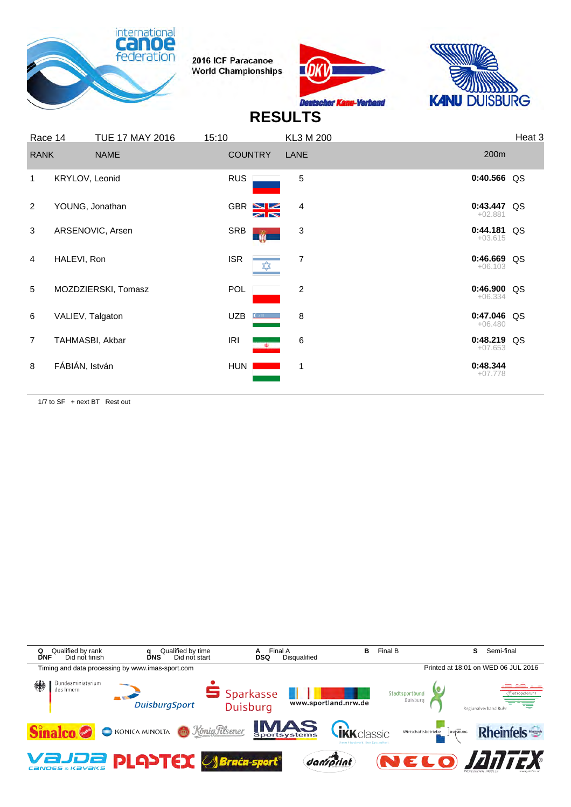





#### **RESULTS**

| Race 14        |                  | <b>TUE 17 MAY 2016</b> | 15:10      |                           | KL3 M 200      |                            | Heat 3 |
|----------------|------------------|------------------------|------------|---------------------------|----------------|----------------------------|--------|
| <b>RANK</b>    |                  | <b>NAME</b>            |            | <b>COUNTRY</b>            | LANE           | 200m                       |        |
| 1              | KRYLOV, Leonid   |                        | <b>RUS</b> |                           | 5              | 0:40.566 QS                |        |
| 2              | YOUNG, Jonathan  |                        |            | GBR $N$<br>$\blacksquare$ | 4              | 0:43.447 QS<br>$+02.881$   |        |
| 3              |                  | ARSENOVIC, Arsen       | SRB        | w                         | $\sqrt{3}$     | $0:44.181$ QS<br>$+03.615$ |        |
| $\overline{4}$ | HALEVI, Ron      |                        | <b>ISR</b> | $\overline{\mathbf{x}}$   | 7              | $0:46.669$ QS<br>$+06.103$ |        |
| 5              |                  | MOZDZIERSKI, Tomasz    | <b>POL</b> |                           | $\overline{c}$ | $0:46.900$ QS<br>$+06.334$ |        |
| 6              | VALIEV, Talgaton |                        | <b>UZB</b> |                           | 8              | $0:47.046$ QS<br>$+06.480$ |        |
| $\overline{7}$ | TAHMASBI, Akbar  |                        | <b>IRI</b> | $\mathbf{\Phi}$           | $\,6$          | $0:48.219$ QS<br>$+07.653$ |        |
| 8              | FÁBIÁN, István   |                        | HUN        |                           | 1              | 0:48.344<br>$+07.778$      |        |

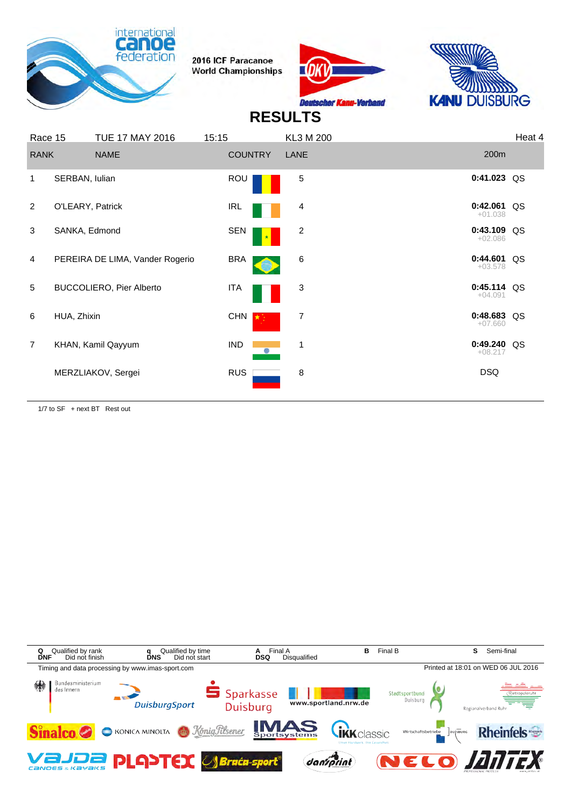





#### **RESULTS**

| Race 15        |                  | <b>TUE 17 MAY 2016</b>          | 15:15          | KL3 M 200 |                            | Heat 4 |
|----------------|------------------|---------------------------------|----------------|-----------|----------------------------|--------|
| <b>RANK</b>    |                  | <b>NAME</b>                     | <b>COUNTRY</b> | LANE      | 200 <sub>m</sub>           |        |
| 1              | SERBAN, Iulian   |                                 | ROU            | 5         | $0:41.023$ QS              |        |
| 2              | O'LEARY, Patrick |                                 | IRL            | 4         | 0:42.061 QS<br>$+01.038$   |        |
| 3              | SANKA, Edmond    |                                 | SEN            | 2         | 0:43.109 QS<br>$+02.086$   |        |
| $\overline{4}$ |                  | PEREIRA DE LIMA, Vander Rogerio | <b>BRA</b>     | 6         | 0:44.601 QS<br>$+03.578$   |        |
| 5              |                  | <b>BUCCOLIERO, Pier Alberto</b> | <b>ITA</b>     | 3         | $0:45.114$ QS<br>$+04.091$ |        |
| 6              | HUA, Zhixin      |                                 | CHN            | 7         | 0:48.683 QS<br>$+07.660$   |        |
| $\overline{7}$ |                  | KHAN, Kamil Qayyum              | IND            | 1         | 0:49.240 QS<br>$+08.217$   |        |
|                |                  | MERZLIAKOV, Sergei              | <b>RUS</b>     | 8         | <b>DSQ</b>                 |        |

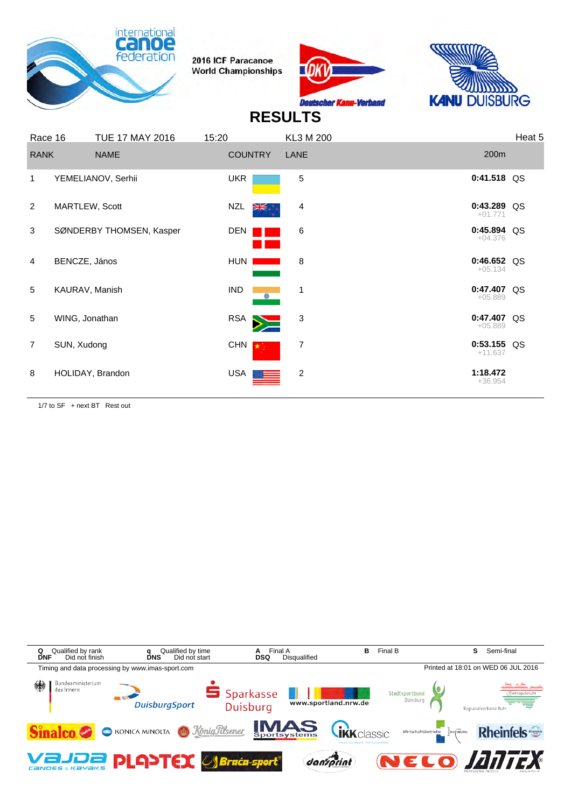





## **RESULTS**

| Race 16        |                  | <b>TUE 17 MAY 2016</b>   | 15:20          |    | KL3 M 200      |                            | Heat 5 |
|----------------|------------------|--------------------------|----------------|----|----------------|----------------------------|--------|
| <b>RANK</b>    |                  | <b>NAME</b>              | <b>COUNTRY</b> |    | LANE           | 200 <sub>m</sub>           |        |
| $\mathbf 1$    |                  | YEMELIANOV, Serhii       | <b>UKR</b>     |    | 5              | $0:41.518$ QS              |        |
| 2              | MARTLEW, Scott   |                          | NZL            | Ж. | 4              | 0:43.289 QS<br>$+01.771$   |        |
| 3              |                  | SØNDERBY THOMSEN, Kasper | DEN            |    | 6              | $0:45.894$ QS<br>$+04.376$ |        |
| $\overline{4}$ | BENCZE, János    |                          | HUN            |    | 8              | $0:46.652$ QS<br>$+05.134$ |        |
| 5              | KAURAV, Manish   |                          | <b>IND</b>     |    | 1              | $0:47.407$ QS<br>$+05.889$ |        |
| 5              | WING, Jonathan   |                          | RSA            |    | $\mathbf{3}$   | 0:47.407 QS<br>$+05.889$   |        |
| $\overline{7}$ | SUN, Xudong      |                          | CHN            |    | 7              | $0:53.155$ QS<br>$+11.637$ |        |
| 8              | HOLIDAY, Brandon |                          | <b>USA</b>     |    | $\overline{2}$ | 1:18.472<br>$+36.954$      |        |

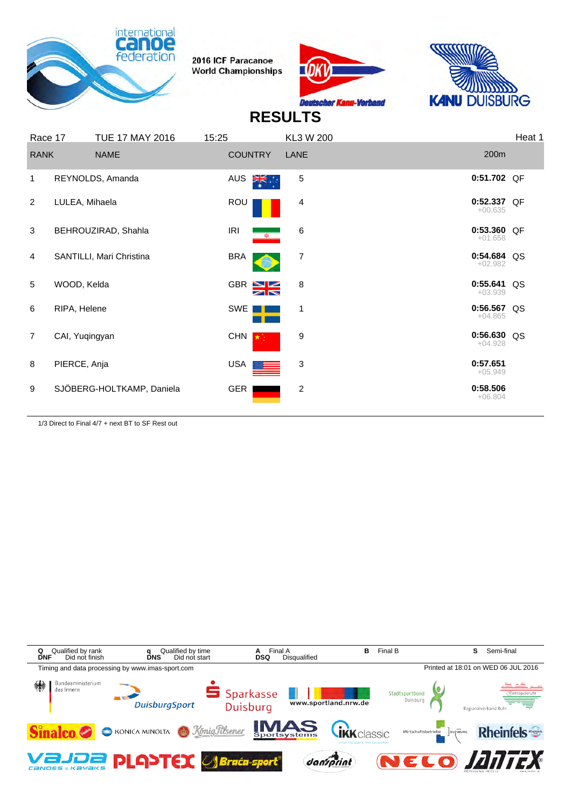





# **RESULTS**

| Race 17        |                | <b>TUE 17 MAY 2016</b>    | 15:25                             | KL3 W 200 |                          | Heat 1 |
|----------------|----------------|---------------------------|-----------------------------------|-----------|--------------------------|--------|
| <b>RANK</b>    |                | <b>NAME</b>               | <b>COUNTRY</b>                    | LANE      | 200m                     |        |
| 1              |                | REYNOLDS, Amanda          | AUS<br>≯্≍                        | 5         | 0:51.702 QF              |        |
| 2              | LULEA, Mihaela |                           | ROU                               | 4         | 0:52.337 QF<br>$+00.635$ |        |
| 3              |                | BEHROUZIRAD, Shahla       | <b>IRI</b><br>$\frac{\Phi}{\Phi}$ | 6         | 0:53.360 QF<br>$+01.658$ |        |
| 4              |                | SANTILLI, Mari Christina  | <b>BRA</b>                        | 7         | 0:54.684 QS<br>$+02.982$ |        |
| 5              | WOOD, Kelda    |                           | GBR S                             | 8         | 0:55.641<br>$+03.939$    | QS     |
| 6              | RIPA, Helene   |                           | SWE                               | 1         | 0:56.567 QS<br>$+04.865$ |        |
| $\overline{7}$ | CAI, Yuqingyan |                           | <b>CHN</b>                        | 9         | 0:56.630 QS<br>$+04.928$ |        |
| 8              | PIERCE, Anja   |                           | <b>USA</b>                        | 3         | 0:57.651<br>$+05.949$    |        |
| 9              |                | SJÖBERG-HOLTKAMP, Daniela | GER                               | 2         | 0:58.506<br>$+06.804$    |        |
|                |                |                           |                                   |           |                          |        |

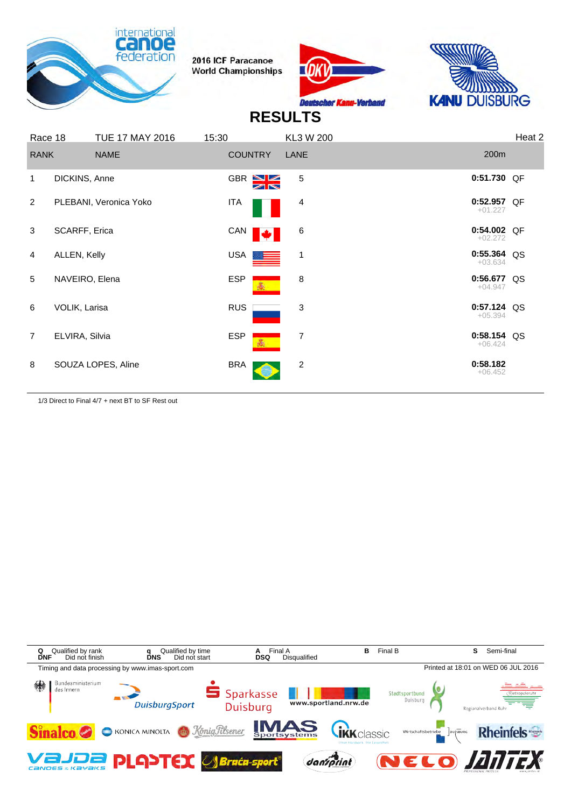





# **RESULTS**

| Race 18        |                | <b>TUE 17 MAY 2016</b> | 15:30      |                | KL3 W 200               |                            | Heat 2 |
|----------------|----------------|------------------------|------------|----------------|-------------------------|----------------------------|--------|
| <b>RANK</b>    |                | <b>NAME</b>            |            | <b>COUNTRY</b> | LANE                    | 200m                       |        |
| 1              | DICKINS, Anne  |                        |            | GBR XX         | 5                       | $0:51.730$ QF              |        |
| 2              |                | PLEBANI, Veronica Yoko | <b>ITA</b> |                | 4                       | $0:52.957$ QF<br>$+01.227$ |        |
| 3              | SCARFF, Erica  |                        |            | CAN<br>M       | 6                       | 0:54.002 QF<br>$+02.272$   |        |
| 4              | ALLEN, Kelly   |                        |            | USA            | 1                       | $0:55.364$ QS<br>$+03.634$ |        |
| 5              | NAVEIRO, Elena |                        | <b>ESP</b> |                | 8                       | 0:56.677 QS<br>$+04.947$   |        |
| 6              | VOLIK, Larisa  |                        |            | <b>RUS</b>     | 3                       | $0:57.124$ QS<br>$+05.394$ |        |
| $\overline{7}$ | ELVIRA, Silvia |                        | <b>ESP</b> | 高.             | 7                       | $0:58.154$ QS<br>$+06.424$ |        |
| 8              |                | SOUZA LOPES, Aline     | <b>BRA</b> |                | $\overline{\mathbf{c}}$ | 0:58.182<br>$+06.452$      |        |

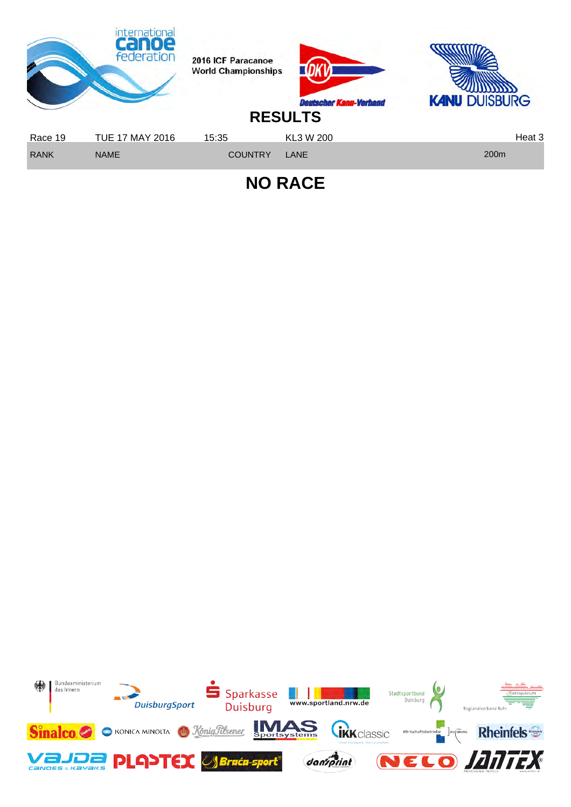

**NO RACE**

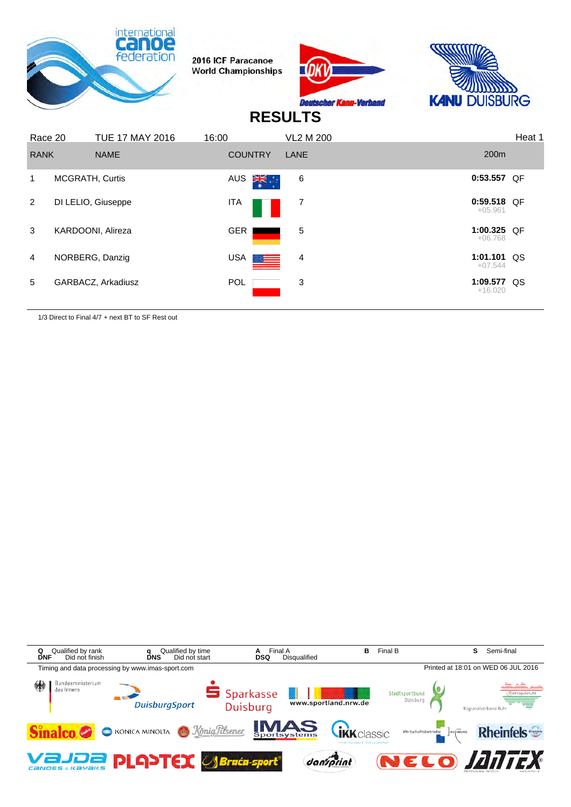





#### **RESULTS**

| Race 20       |                 | <b>TUE 17 MAY 2016</b> | 16:00 |                    | <b>VL2 M 200</b> |                            | Heat 1 |
|---------------|-----------------|------------------------|-------|--------------------|------------------|----------------------------|--------|
| <b>RANK</b>   |                 | <b>NAME</b>            |       | <b>COUNTRY</b>     | LANE             | 200 <sub>m</sub>           |        |
|               | MCGRATH, Curtis |                        |       | ∛≍ँ<br>AUS         | 6                | 0:53.557 QF                |        |
| $\mathcal{P}$ |                 | DI LELIO, Giuseppe     |       | ITA                | 7                | $0:59.518$ QF<br>$+05.961$ |        |
| 3             |                 | KARDOONI, Alireza      |       | <b>GER</b>         | 5                | 1:00.325 OF<br>$+06.768$   |        |
| 4             |                 | NORBERG, Danzig        |       | USA <b>DESERVE</b> | 4                | $1:01.101$ QS<br>$+07.544$ |        |
| 5             |                 | GARBACZ, Arkadiusz     |       | <b>POL</b>         | 3                | 1:09.577 QS<br>$+16.020$   |        |

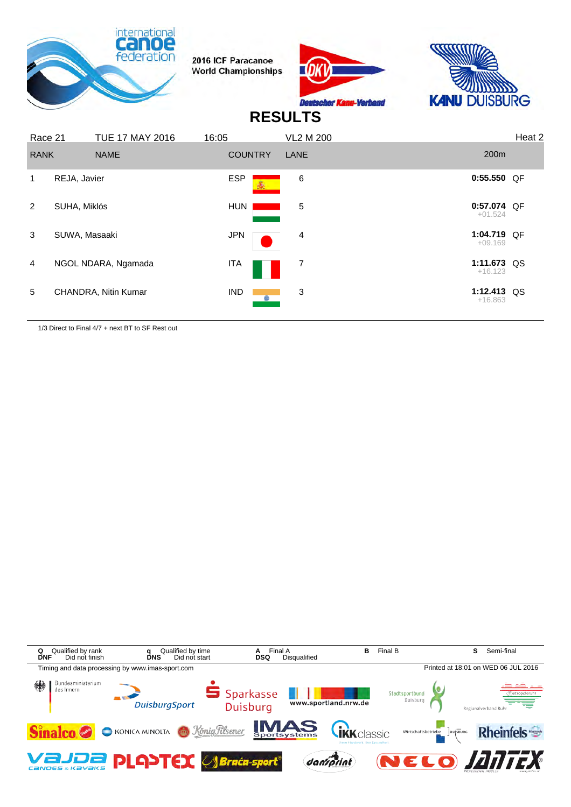





#### **RESULTS**

| Race 21        |                      | <b>TUE 17 MAY 2016</b> | 16:05          | <b>VL2 M 200</b> |                            | Heat 2 |
|----------------|----------------------|------------------------|----------------|------------------|----------------------------|--------|
| <b>RANK</b>    | <b>NAME</b>          |                        | <b>COUNTRY</b> | LANE             | 200 <sub>m</sub>           |        |
|                | REJA, Javier         |                        | <b>ESP</b>     | 6                | 0:55.550 QF                |        |
| $\overline{2}$ | SUHA, Miklós         |                        | <b>HUN</b>     | 5                | $0:57.074$ QF<br>$+01.524$ |        |
| 3              | SUWA, Masaaki        |                        | <b>JPN</b>     | 4                | 1:04.719 QF<br>$+09.169$   |        |
| $\overline{4}$ | NGOL NDARA, Ngamada  |                        | ITA            | 7                | 1:11.673 QS<br>$+16.123$   |        |
| 5              | CHANDRA, Nitin Kumar |                        | <b>IND</b>     | 3                | 1:12.413 QS<br>$+16.863$   |        |
|                |                      |                        |                |                  |                            |        |

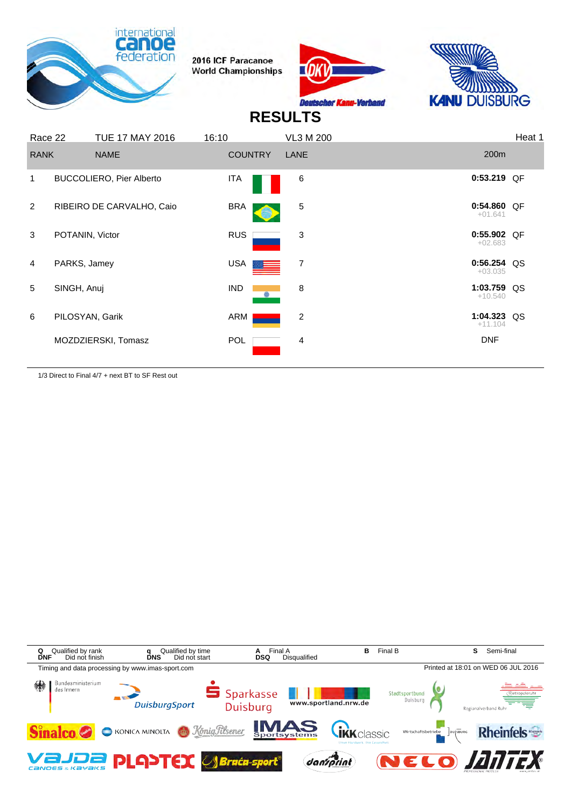





#### **RESULTS**

| <b>RANK</b>    |                 | <b>NAME</b>                     | <b>COUNTRY</b> | LANE | 200m                       |  |
|----------------|-----------------|---------------------------------|----------------|------|----------------------------|--|
| 1              |                 | <b>BUCCOLIERO, Pier Alberto</b> | ITA            | 6    | $0:53.219$ QF              |  |
| $\overline{2}$ |                 | RIBEIRO DE CARVALHO, Caio       | <b>BRA</b>     | 5    | $0:54.860$ OF<br>$+01.641$ |  |
| 3              | POTANIN, Victor |                                 | <b>RUS</b>     | 3    | 0:55.902 QF<br>$+02.683$   |  |
| 4              | PARKS, Jamey    |                                 | USA            | 7    | $0:56.254$ QS<br>$+03.035$ |  |
| 5              | SINGH, Anuj     |                                 | IND.           | 8    | 1:03.759 QS<br>$+10.540$   |  |
| 6              | PILOSYAN, Garik |                                 | ARM            | 2    | 1:04.323 QS<br>$+11.104$   |  |
|                |                 | MOZDZIERSKI, Tomasz             | <b>POL</b>     | 4    | <b>DNF</b>                 |  |

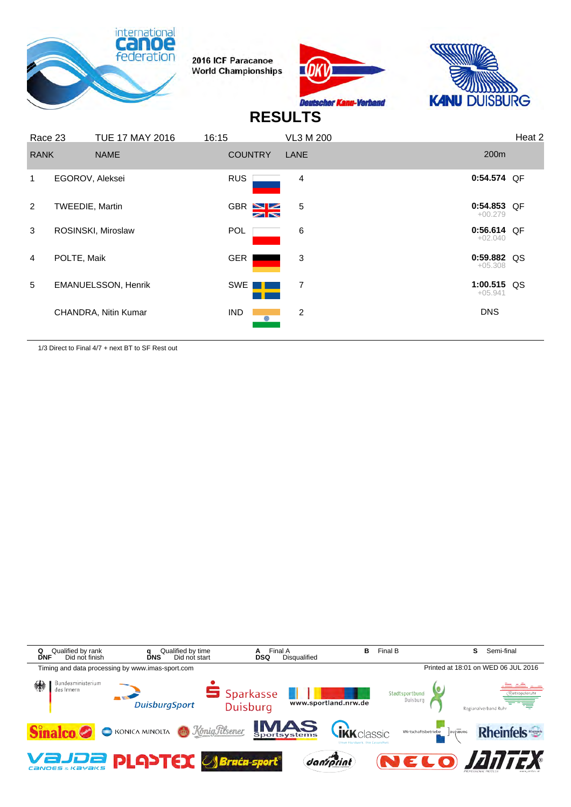





#### **RESULTS**

| Race 23        |                        | <b>TUE 17 MAY 2016</b>     | 16:15                          | VL3 M 200      |                            | Heat 2 |
|----------------|------------------------|----------------------------|--------------------------------|----------------|----------------------------|--------|
| <b>RANK</b>    |                        | <b>NAME</b>                | <b>COUNTRY</b>                 | LANE           | 200 <sub>m</sub>           |        |
| 1              | EGOROV, Aleksei        |                            | <b>RUS</b>                     | $\overline{4}$ | 0:54.574 QF                |        |
| $\mathcal{P}$  | <b>TWEEDIE, Martin</b> |                            | $GBR \geq 2$<br>$\blacksquare$ | 5              | 0:54.853 QF<br>$+00.279$   |        |
| 3              |                        | ROSINSKI, Miroslaw         | <b>POL</b>                     | 6              | 0:56.614 QF<br>$+02.040$   |        |
| $\overline{4}$ | POLTE, Maik            |                            | GER                            | 3              | $0:59.882$ QS<br>$+05.308$ |        |
| 5              |                        | <b>EMANUELSSON, Henrik</b> | <b>SWE</b>                     | 7              | 1:00.515 QS<br>$+05.941$   |        |
|                |                        | CHANDRA, Nitin Kumar       | <b>IND</b>                     | 2              | <b>DNS</b>                 |        |
|                |                        |                            |                                |                |                            |        |

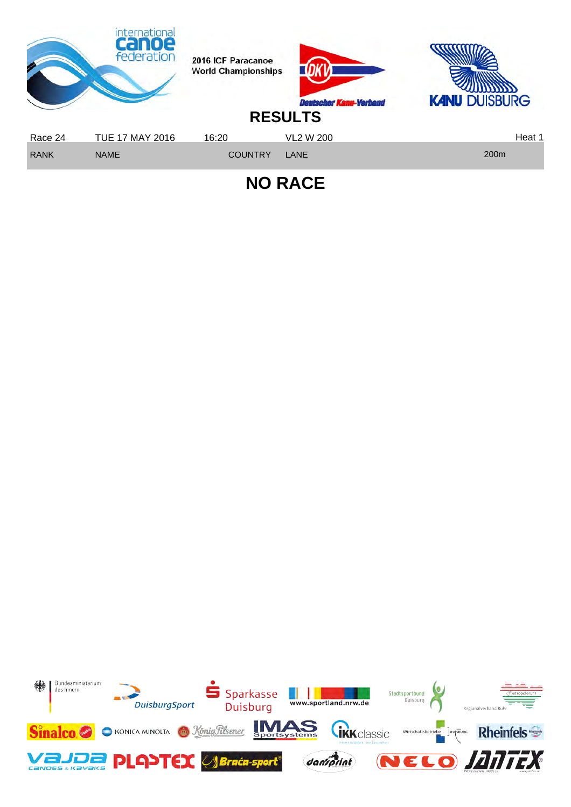

**NO RACE**

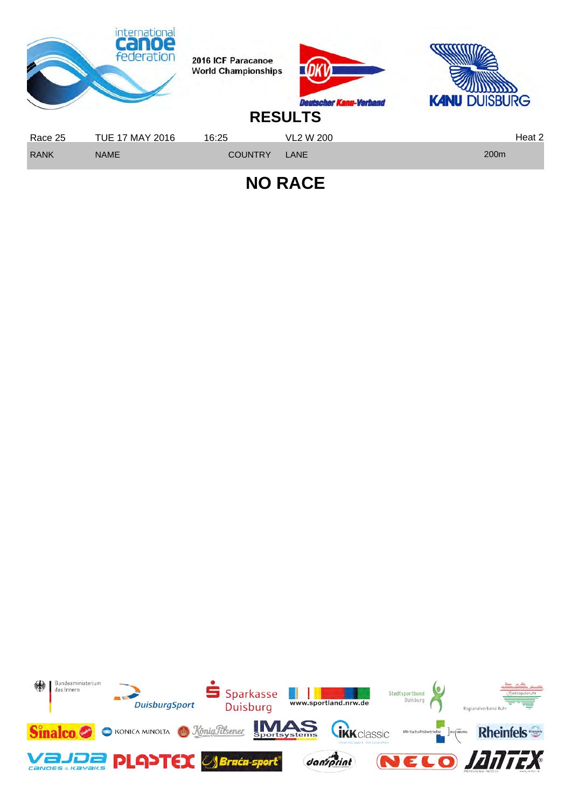

**NO RACE**

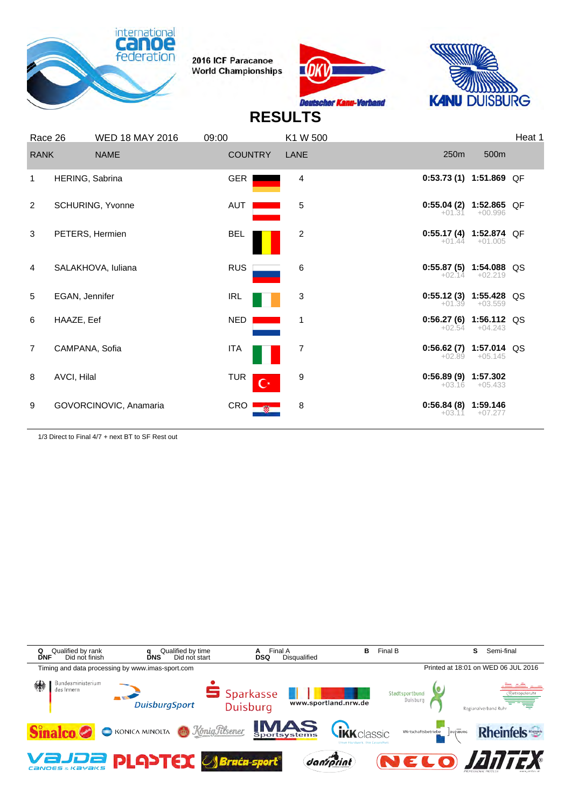





# **RESULTS**

| Race 26        |                 | <b>WED 18 MAY 2016</b>  | 09:00                        | K1 W 500       |                                      |                  | Heat 1 |
|----------------|-----------------|-------------------------|------------------------------|----------------|--------------------------------------|------------------|--------|
| <b>RANK</b>    |                 | <b>NAME</b>             | <b>COUNTRY</b>               | LANE           | 250m                                 | 500m             |        |
| 1              | HERING, Sabrina |                         | <b>GER</b>                   | 4              | $0:53.73(1)$ 1:51.869 QF             |                  |        |
| $\overline{2}$ |                 | <b>SCHURING, Yvonne</b> | AUT                          | 5              | $0:55.04(2)$ 1:52.865 QF<br>$+01.31$ | $+00.996$        |        |
| 3              | PETERS, Hermien |                         | <b>BEL</b>                   | $\overline{c}$ | $0:55.17(4)$ 1:52.874 QF             | $+01.44 +01.005$ |        |
| 4              |                 | SALAKHOVA, Iuliana      | <b>RUS</b>                   | 6              | $0:55.87(5)$ 1:54.088 QS<br>$+02.14$ | $+02.219$        |        |
| 5              | EGAN, Jennifer  |                         | IRL                          | 3              | $0:55.12(3)$ 1:55.428 QS             | $+01.39 +03.559$ |        |
| 6              | HAAZE, Eef      |                         | <b>NED</b>                   | 1              | $0:56.27(6)$ 1:56.112 QS<br>$+02.54$ | $+04.243$        |        |
| $\overline{7}$ | CAMPANA, Sofia  |                         | <b>ITA</b>                   | 7              | $0:56.62(7)$ 1:57.014 QS<br>$+02.89$ | $+05.145$        |        |
| 8              | AVCI, Hilal     |                         | <b>TUR</b><br>$\mathbf{C}^*$ | 9              | $0:56.89(9)$ 1:57.302<br>$+03.16$    | $+05.433$        |        |
| 9              |                 | GOVORCINOVIC, Anamaria  | $CRO$ $\frac{1}{3}$          | 8              | $0:56.84(8)$ 1:59.146<br>$+03.11$    | $+07.277$        |        |
|                |                 |                         |                              |                |                                      |                  |        |

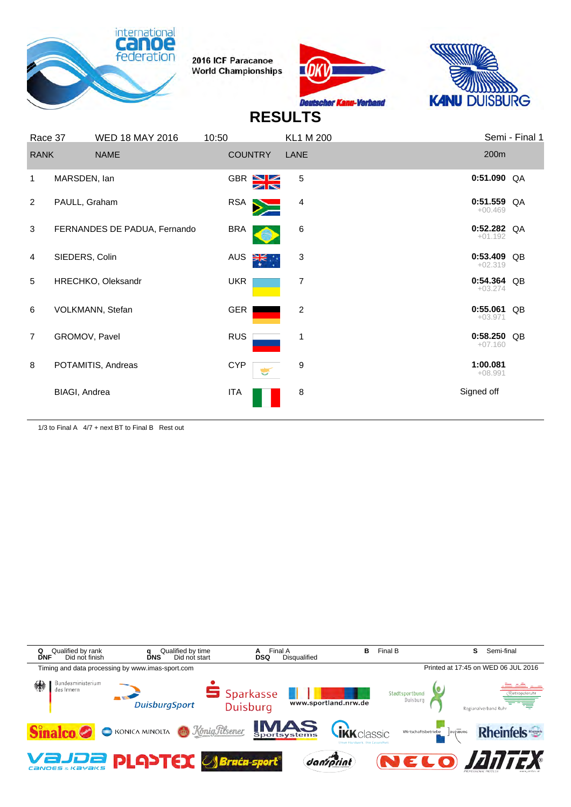





#### **RESULTS**

|                | Race 37              | <b>WED 18 MAY 2016</b>       | 10:50      |                | <b>KL1 M 200</b> |                            | Semi - Final 1 |
|----------------|----------------------|------------------------------|------------|----------------|------------------|----------------------------|----------------|
| <b>RANK</b>    |                      | <b>NAME</b>                  |            | <b>COUNTRY</b> | LANE             | 200m                       |                |
| 1              | MARSDEN, lan         |                              |            | GBR SE         | 5                | $0:51.090$ QA              |                |
| 2              | PAULL, Graham        |                              | RSA        |                | 4                | $0:51.559$ QA<br>$+00.469$ |                |
| 3              |                      | FERNANDES DE PADUA, Fernando | <b>BRA</b> |                | 6                | $0:52.282$ QA<br>$+01.192$ |                |
| 4              | SIEDERS, Colin       |                              | AUS        | ∛ँ             | 3                | 0:53.409 QB<br>$+02.319$   |                |
| 5              |                      | HRECHKO, Oleksandr           | <b>UKR</b> |                | 7                | $0:54.364$ QB<br>$+03.274$ |                |
| 6              |                      | VOLKMANN, Stefan             | GER        |                | $\overline{2}$   | 0:55.061 QB<br>$+03.971$   |                |
| $\overline{7}$ | GROMOV, Pavel        |                              | <b>RUS</b> |                | 1                | 0:58.250<br>$+07.160$      | QB             |
| 8              |                      | POTAMITIS, Andreas           | <b>CYP</b> |                | 9                | 1:00.081<br>$+08.991$      |                |
|                | <b>BIAGI, Andrea</b> |                              | ITA        |                | 8                | Signed off                 |                |
|                |                      |                              |            |                |                  |                            |                |

1/3 to Final A 4/7 + next BT to Final B Rest out

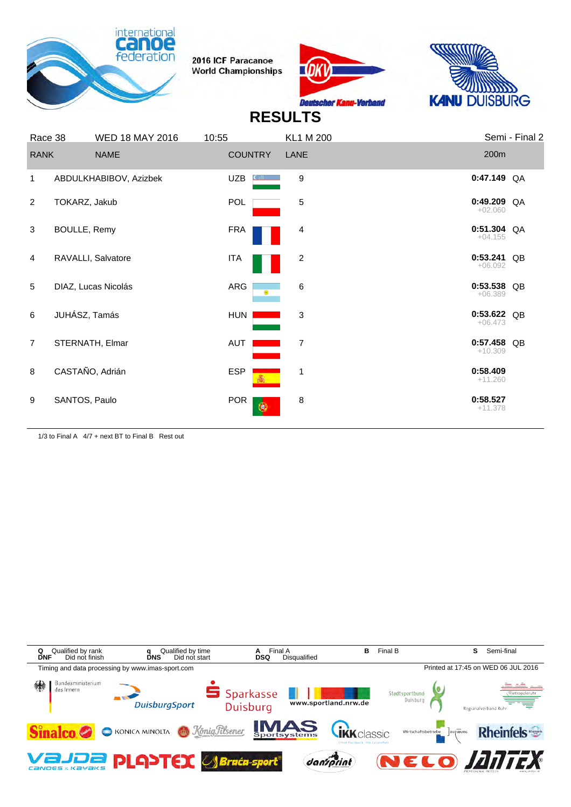





# **RESULTS**

| Race 38        |                 | <b>WED 18 MAY 2016</b> | 10:55                   | <b>KL1 M 200</b> | Semi - Final 2              |  |
|----------------|-----------------|------------------------|-------------------------|------------------|-----------------------------|--|
| <b>RANK</b>    |                 | <b>NAME</b>            | <b>COUNTRY</b>          | LANE             | 200m                        |  |
| 1              |                 | ABDULKHABIBOV, Azizbek | <b>UZB</b>              | 9                | $0:47.149$ QA               |  |
| 2              | TOKARZ, Jakub   |                        | POL                     | 5                | $0:49.209$ QA<br>$+02.060$  |  |
| 3              | BOULLE, Remy    |                        | <b>FRA</b>              | 4                | $0:51.304$ QA<br>$+04.155$  |  |
| 4              |                 | RAVALLI, Salvatore     | <b>ITA</b>              | 2                | 0:53.241<br>QB<br>$+06.092$ |  |
| 5              |                 | DIAZ, Lucas Nicolás    | ARG                     | 6                | 0:53.538 QB<br>$+06.389$    |  |
| 6              | JUHÁSZ, Tamás   |                        | <b>HUN</b>              | 3                | $0:53.622$ QB<br>$+06.473$  |  |
| $\overline{7}$ |                 | STERNATH, Elmar        | AUT                     | 7                | 0:57.458 QB<br>$+10.309$    |  |
| 8              | CASTAÑO, Adrián |                        | <b>ESP</b>              | 1                | 0:58.409<br>$+11.260$       |  |
| 9              | SANTOS, Paulo   |                        | <b>POR</b><br>$\bullet$ | 8                | 0:58.527<br>$+11.378$       |  |
|                |                 |                        |                         |                  |                             |  |

1/3 to Final A 4/7 + next BT to Final B Rest out

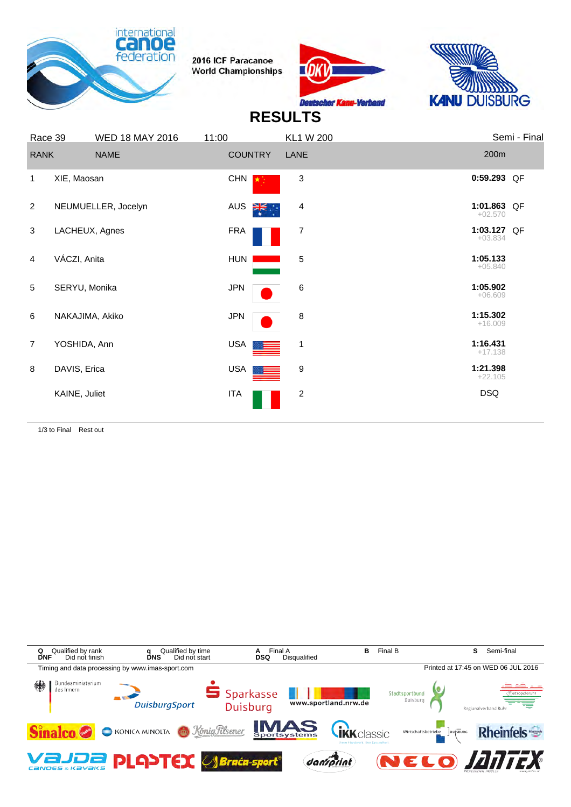





# **RESULTS**

|                | Race 39         | <b>WED 18 MAY 2016</b> | 11:00          | <b>KL1 W 200</b> | Semi - Final             |
|----------------|-----------------|------------------------|----------------|------------------|--------------------------|
| <b>RANK</b>    |                 | <b>NAME</b>            | <b>COUNTRY</b> | LANE             | 200m                     |
| 1              | XIE, Maosan     |                        | <b>CHN</b>     | $\sqrt{3}$       | 0:59.293 QF              |
| 2              |                 | NEUMUELLER, Jocelyn    | AUS<br>⋛⋛⋰     | 4                | 1:01.863 QF<br>$+02.570$ |
| 3              |                 | LACHEUX, Agnes         | <b>FRA</b>     | 7                | 1:03.127 QF<br>$+03.834$ |
| $\overline{4}$ | VÁCZI, Anita    |                        | HUN            | 5                | 1:05.133<br>$+05.840$    |
| 5              | SERYU, Monika   |                        | <b>JPN</b>     | 6                | 1:05.902<br>$+06.609$    |
| 6              | NAKAJIMA, Akiko |                        | <b>JPN</b>     | 8                | 1:15.302<br>$+16.009$    |
| $\overline{7}$ | YOSHIDA, Ann    |                        | USA            | $\mathbf{1}$     | 1:16.431<br>$+17.138$    |
| 8              | DAVIS, Erica    |                        | USA <b>I</b>   | 9                | 1:21.398<br>$+22.105$    |
|                | KAINE, Juliet   |                        | <b>ITA</b>     | $\overline{c}$   | <b>DSQ</b>               |
|                |                 |                        |                |                  |                          |

1/3 to Final Rest out

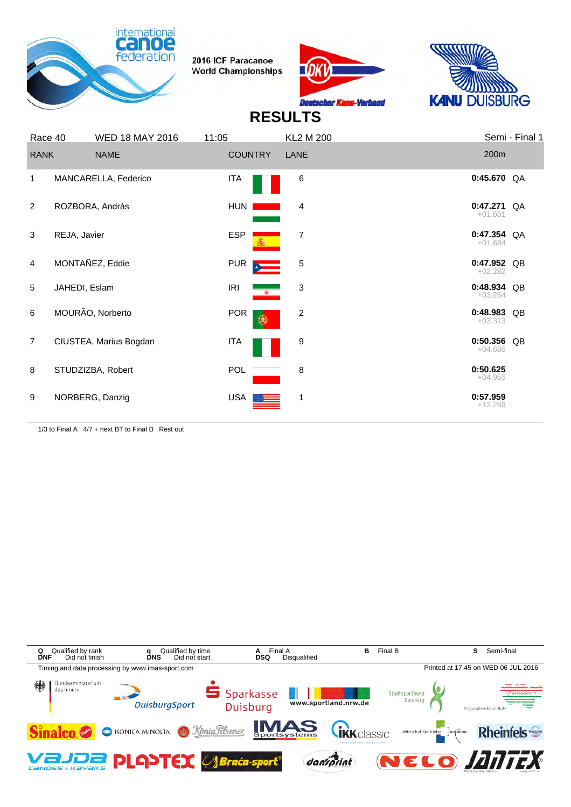





## **RESULTS**

| Race 40        |               | <b>WED 18 MAY 2016</b> | 11:05                                          | <b>KL2 M 200</b> |                          | Semi - Final 1 |
|----------------|---------------|------------------------|------------------------------------------------|------------------|--------------------------|----------------|
| <b>RANK</b>    |               | <b>NAME</b>            | <b>COUNTRY</b>                                 | <b>LANE</b>      | 200m                     |                |
| $\mathbf{1}$   |               | MANCARELLA, Federico   | <b>ITA</b>                                     | 6                | $0:45.670$ QA            |                |
| 2              |               | ROZBORA, András        | <b>HUN</b>                                     | 4                | 0:47.271<br>$+01.601$    | QA             |
| 3              | REJA, Javier  |                        | <b>ESP</b>                                     | 7                | 0:47.354 QA<br>$+01.684$ |                |
| $\overline{4}$ |               | MONTAÑEZ, Eddie        | <b>PUR</b><br>$\star$ $\overline{\phantom{a}}$ | 5                | 0:47.952 QB<br>$+02.282$ |                |
| 5              | JAHEDI, Eslam |                        | <b>IRI</b><br>$\sim$ $\Phi$                    | 3                | 0:48.934 QB<br>$+03.264$ |                |
| 6              |               | MOURÃO, Norberto       | <b>POR</b><br>۵                                | 2                | 0:48.983 QB<br>$+03.313$ |                |
| $\overline{7}$ |               | CIUSTEA, Marius Bogdan | <b>ITA</b>                                     | 9                | 0:50.356 QB<br>$+04.686$ |                |
| 8              |               | STUDZIZBA, Robert      | POL                                            | 8                | 0:50.625<br>$+04.955$    |                |
| 9              |               | NORBERG, Danzig        | <b>USA</b>                                     | 1                | 0:57.959<br>$+12.289$    |                |

1/3 to Final A 4/7 + next BT to Final B Rest out

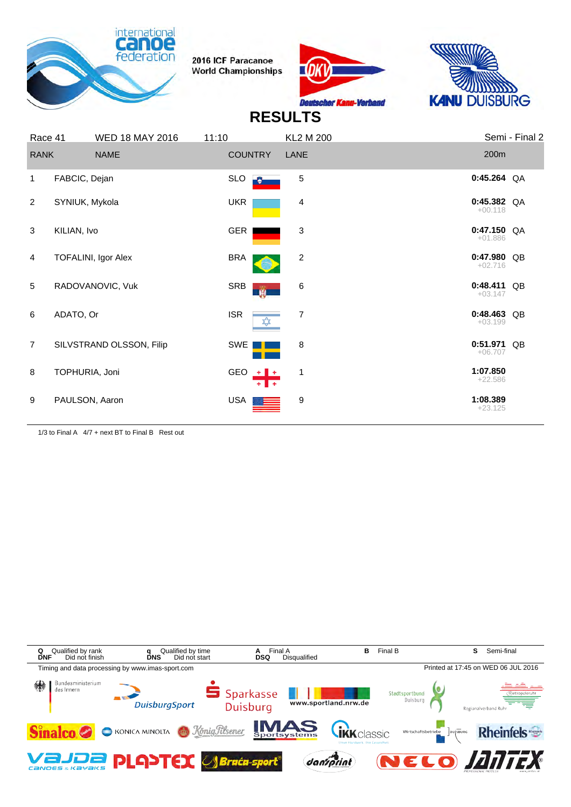





## **RESULTS**

| Race 41        |                | <b>WED 18 MAY 2016</b>   | 11:10      |                | <b>KL2 M 200</b>          |                            | Semi - Final 2 |
|----------------|----------------|--------------------------|------------|----------------|---------------------------|----------------------------|----------------|
| <b>RANK</b>    |                | <b>NAME</b>              |            | <b>COUNTRY</b> | LANE                      | 200m                       |                |
| $\mathbf{1}$   | FABCIC, Dejan  |                          | <b>SLO</b> |                | 5                         | $0:45.264$ QA              |                |
| 2              | SYNIUK, Mykola |                          | <b>UKR</b> |                | 4                         | $0:45.382$ QA<br>$+00.118$ |                |
| 3              | KILIAN, Ivo    |                          |            | GER            | $\ensuremath{\mathsf{3}}$ | $0:47.150$ QA<br>$+01.886$ |                |
| 4              |                | TOFALINI, Igor Alex      | <b>BRA</b> |                | 2                         | 0:47.980<br>$+02.716$      | QB             |
| 5              |                | RADOVANOVIC, Vuk         | <b>SRB</b> | n.             | 6                         | 0:48.411<br>$+03.147$      | QB             |
| 6              | ADATO, Or      |                          | <b>ISR</b> |                | $\overline{7}$            | 0:48.463<br>$+03.199$      | QB             |
| $\overline{7}$ |                | SILVSTRAND OLSSON, Filip |            | SWE            | 8                         | 0:51.971<br>$+06.707$      | QB             |
| 8              | TOPHURIA, Joni |                          |            | GEO $+$ $+$    | $\mathbf 1$               | 1:07.850<br>$+22.586$      |                |
| 9              | PAULSON, Aaron |                          | <b>USA</b> |                | 9                         | 1:08.389<br>$+23.125$      |                |

1/3 to Final A 4/7 + next BT to Final B Rest out

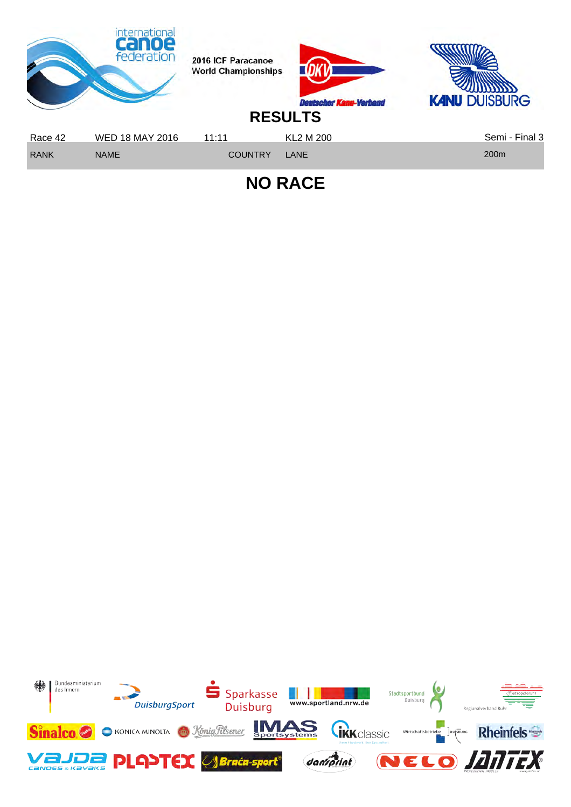

**NO RACE**

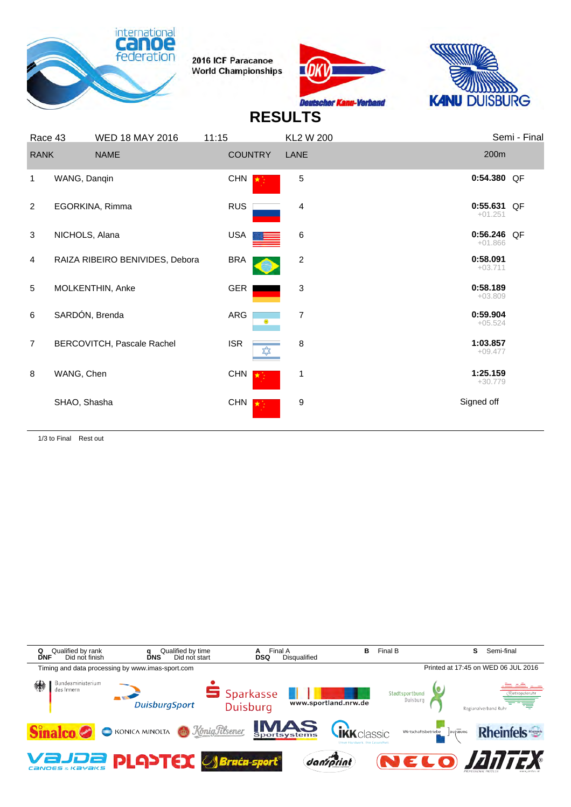





#### **RESULTS**

| Race 43        |                | <b>WED 18 MAY 2016</b>          | 11:15      |                | <b>KL2 W 200</b> |                          | Semi - Final |
|----------------|----------------|---------------------------------|------------|----------------|------------------|--------------------------|--------------|
| <b>RANK</b>    |                | <b>NAME</b>                     |            | <b>COUNTRY</b> | LANE             | 200m                     |              |
| 1              | WANG, Danqin   |                                 | <b>CHN</b> |                | 5                | 0:54.380 QF              |              |
| 2              |                | EGORKINA, Rimma                 | <b>RUS</b> |                | 4                | 0:55.631 QF<br>$+01.251$ |              |
| 3              | NICHOLS, Alana |                                 | <b>USA</b> |                | $\,6$            | 0:56.246 QF<br>$+01.866$ |              |
| 4              |                | RAIZA RIBEIRO BENIVIDES, Debora | <b>BRA</b> |                | 2                | 0:58.091<br>$+03.711$    |              |
| 5              |                | MOLKENTHIN, Anke                | GER        |                | 3                | 0:58.189<br>$+03.809$    |              |
| 6              | SARDÓN, Brenda |                                 | ARG        | $\odot$        | 7                | 0:59.904<br>$+05.524$    |              |
| $\overline{7}$ |                | BERCOVITCH, Pascale Rachel      | <b>ISR</b> | ✿              | 8                | 1:03.857<br>$+09.477$    |              |
| 8              | WANG, Chen     |                                 | <b>CHN</b> |                | 1                | 1:25.159<br>$+30.779$    |              |
|                | SHAO, Shasha   |                                 | <b>CHN</b> |                | 9                | Signed off               |              |
|                |                |                                 |            |                |                  |                          |              |

1/3 to Final Rest out

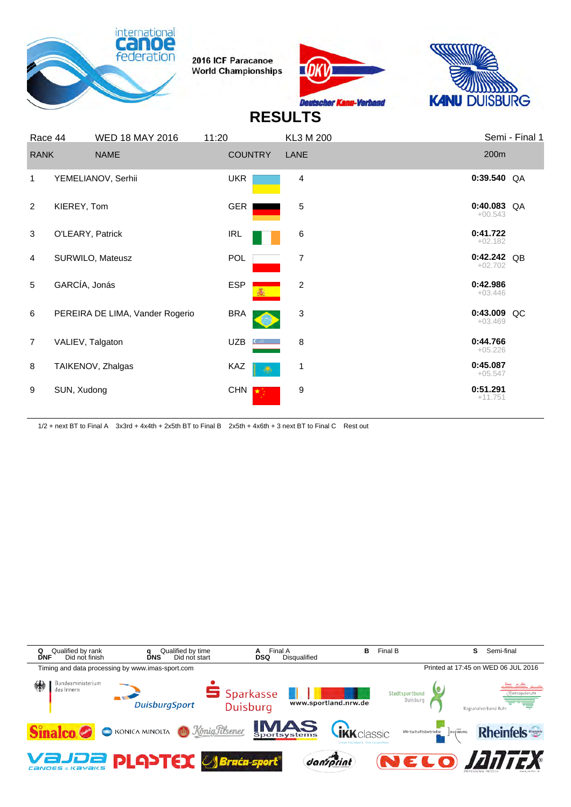





## **RESULTS**

| Race 44        |                  | <b>WED 18 MAY 2016</b>          | 11:20           | KL3 M 200      | Semi - Final 1              |
|----------------|------------------|---------------------------------|-----------------|----------------|-----------------------------|
| <b>RANK</b>    |                  | <b>NAME</b>                     | <b>COUNTRY</b>  | LANE           | 200m                        |
| 1              |                  | YEMELIANOV, Serhii              | <b>UKR</b>      | $\overline{4}$ | $0:39.540$ QA               |
| 2              | KIEREY, Tom      |                                 | GER             | 5              | $0:40.083$ QA<br>$+00.543$  |
| 3              | O'LEARY, Patrick |                                 | <b>IRL</b>      | 6              | 0:41.722<br>$+02.182$       |
| 4              |                  | SURWILO, Mateusz                | POL             | 7              | 0:42.242 QB<br>$+02.702$    |
| 5              | GARCÍA, Jonás    |                                 | <b>ESP</b><br>蟊 | 2              | 0:42.986<br>$+03.446$       |
| 6              |                  | PEREIRA DE LIMA, Vander Rogerio | <b>BRA</b>      | 3              | 0:43.009<br>QC<br>$+03.469$ |
| $\overline{7}$ | VALIEV, Talgaton |                                 | <b>UZB</b>      | 8              | 0:44.766<br>$+05.226$       |
| 8              |                  | TAIKENOV, Zhalgas               | KAZ             | 1              | 0:45.087<br>$+05.547$       |
| 9              | SUN, Xudong      |                                 | CHN $\sqrt{2}$  | 9              | 0:51.291<br>$+11.751$       |

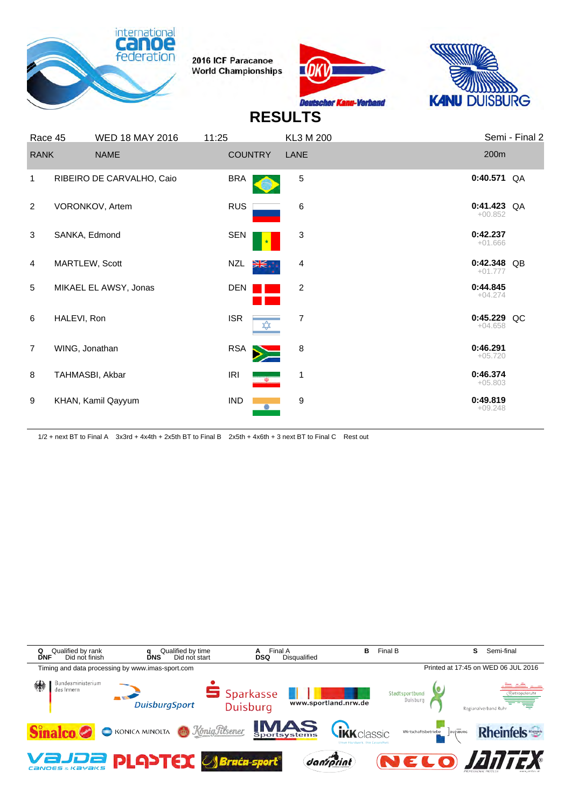





#### **RESULTS**

|                | Race 45        | <b>WED 18 MAY 2016</b>    | 11:25      | <b>KL3 M 200</b>       |                            | Semi - Final 2 |
|----------------|----------------|---------------------------|------------|------------------------|----------------------------|----------------|
| <b>RANK</b>    |                | <b>NAME</b>               |            | <b>COUNTRY</b><br>LANE | 200m                       |                |
| 1              |                | RIBEIRO DE CARVALHO, Caio | <b>BRA</b> | 5                      | $0:40.571$ QA              |                |
| 2              |                | VORONKOV, Artem           | <b>RUS</b> | 6                      | $0:41.423$ QA<br>$+00.852$ |                |
| 3              | SANKA, Edmond  |                           | <b>SEN</b> | 3                      | 0:42.237<br>$+01.666$      |                |
| $\overline{4}$ |                | MARTLEW, Scott            | <b>NZL</b> | 4<br>¥.∍               | 0:42.348 QB<br>$+01.777$   |                |
| 5              |                | MIKAEL EL AWSY, Jonas     | <b>DEN</b> | $\overline{2}$         | 0:44.845<br>$+04.274$      |                |
| 6              | HALEVI, Ron    |                           | <b>ISR</b> | $\overline{7}$<br>✿    | 0:45.229 QC<br>$+04.658$   |                |
| $\overline{7}$ | WING, Jonathan |                           | <b>RSA</b> | 8                      | 0:46.291<br>$+05.720$      |                |
| 8              |                | TAHMASBI, Akbar           | <b>IRI</b> | 1<br>$\rightarrow$     | 0:46.374<br>$+05.803$      |                |
| 9              |                | KHAN, Kamil Qayyum        | <b>IND</b> | 9                      | 0:49.819<br>$+09.248$      |                |

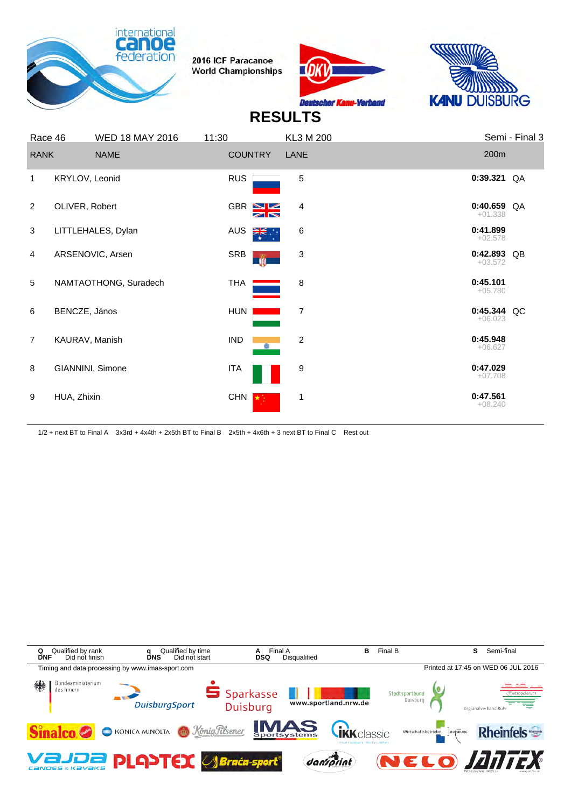





# **RESULTS**

| Race 46        |                  | <b>WED 18 MAY 2016</b> | 11:30             | KL3 M 200               | Semi - Final 3             |
|----------------|------------------|------------------------|-------------------|-------------------------|----------------------------|
| <b>RANK</b>    |                  | <b>NAME</b>            | <b>COUNTRY</b>    | LANE                    | 200m                       |
| 1              | KRYLOV, Leonid   |                        | <b>RUS</b>        | 5                       | $0:39.321$ QA              |
| $\overline{2}$ | OLIVER, Robert   |                        | $GBR \geq 2$<br>↗ | 4                       | $0:40.659$ QA<br>$+01.338$ |
| 3              |                  | LITTLEHALES, Dylan     | AUS<br>▓          | $\,6$                   | 0:41.899<br>$+02.578$      |
| $\overline{4}$ |                  | ARSENOVIC, Arsen       | SRB<br>ŵ          | 3                       | 0:42.893 QB<br>$+03.572$   |
| 5              |                  | NAMTAOTHONG, Suradech  | THA               | 8                       | 0:45.101<br>$+05.780$      |
| 6              | BENCZE, János    |                        | HUN               | $\overline{7}$          | 0:45.344 QC<br>$+06.023$   |
| $\overline{7}$ | KAURAV, Manish   |                        | <b>IND</b>        | $\overline{\mathbf{c}}$ | 0:45.948<br>$+06.627$      |
| 8              | GIANNINI, Simone |                        | ITA               | 9                       | 0:47.029<br>$+07.708$      |
| 9              | HUA, Zhixin      |                        | <b>CHN</b>        | 1                       | 0:47.561<br>$+08.240$      |
|                |                  |                        |                   |                         |                            |

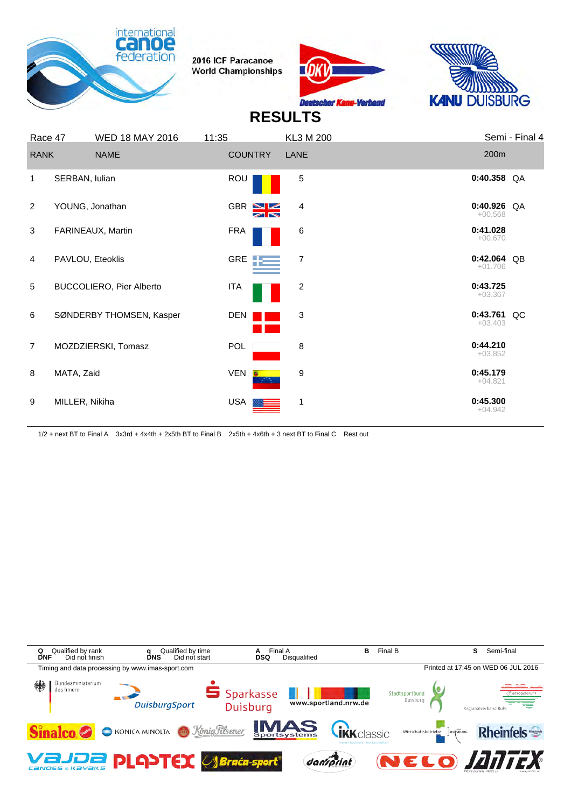





# **RESULTS**

| Race 47        |                  | <b>WED 18 MAY 2016</b>          | 11:35            | KL3 M 200    | Semi - Final 4             |
|----------------|------------------|---------------------------------|------------------|--------------|----------------------------|
| <b>RANK</b>    |                  | <b>NAME</b>                     | <b>COUNTRY</b>   | LANE         | 200m                       |
| 1              | SERBAN, Iulian   |                                 | <b>ROU</b>       | $\sqrt{5}$   | $0:40.358$ QA              |
| 2              | YOUNG, Jonathan  |                                 | GBR NE           | 4            | $0:40.926$ QA<br>$+00.568$ |
| 3              |                  | FARINEAUX, Martin               | <b>FRA</b>       | 6            | 0:41.028<br>$+00.670$      |
| 4              | PAVLOU, Eteoklis |                                 | GRE <b>TE</b>    | 7            | 0:42.064 QB<br>$+01.706$   |
| 5              |                  | <b>BUCCOLIERO, Pier Alberto</b> | <b>ITA</b>       | 2            | 0:43.725<br>$+03.367$      |
| 6              |                  | SØNDERBY THOMSEN, Kasper        | <b>DEN</b>       | 3            | $0:43.761$ QC<br>$+03.403$ |
| $\overline{7}$ |                  | MOZDZIERSKI, Tomasz             | POL              | 8            | 0:44.210<br>$+03.852$      |
| 8              | MATA, Zaid       |                                 | <b>VEN</b><br>G. | 9            | 0:45.179<br>$+04.821$      |
| 9              | MILLER, Nikiha   |                                 | <b>USA</b>       | $\mathbf{1}$ | 0:45.300<br>$+04.942$      |

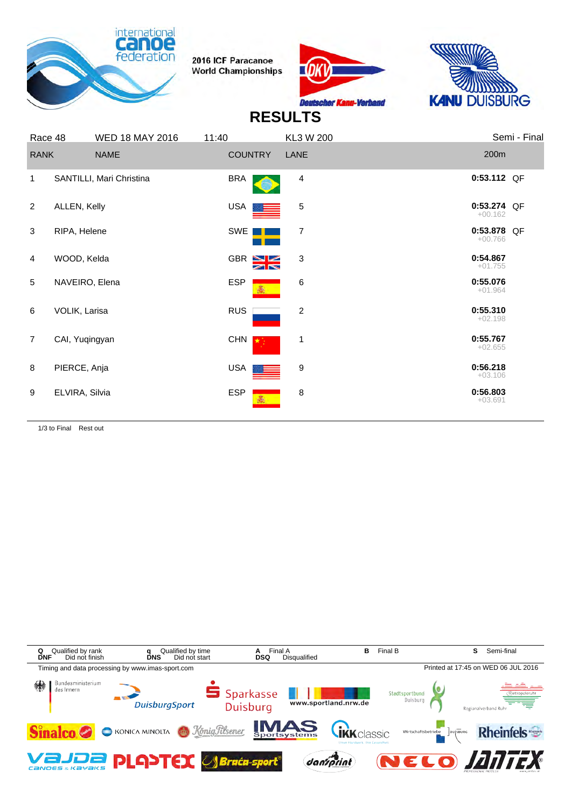





#### **RESULTS**

|                | Race 48        | <b>WED 18 MAY 2016</b>   | 11:40          | KL3 W 200        | Semi - Final             |
|----------------|----------------|--------------------------|----------------|------------------|--------------------------|
| <b>RANK</b>    |                | <b>NAME</b>              | <b>COUNTRY</b> | LANE             | 200m                     |
| 1              |                | SANTILLI, Mari Christina | <b>BRA</b>     | 4                | 0:53.112 QF              |
| 2              | ALLEN, Kelly   |                          | <b>USA</b>     | 5                | 0:53.274 QF<br>$+00.162$ |
| 3              | RIPA, Helene   |                          | SWE            | 7                | 0:53.878 QF<br>$+00.766$ |
| $\overline{4}$ | WOOD, Kelda    |                          | GBR N          | 3                | 0:54.867<br>$+01.755$    |
| 5              | NAVEIRO, Elena |                          | <b>ESP</b>     | 6                | 0:55.076<br>$+01.964$    |
| 6              | VOLIK, Larisa  |                          | <b>RUS</b>     | $\boldsymbol{2}$ | 0:55.310<br>$+02.198$    |
| $\overline{7}$ | CAI, Yuqingyan |                          | <b>CHN</b>     | 1                | 0:55.767<br>$+02.655$    |
| 8              | PIERCE, Anja   |                          | <b>USA</b>     | 9                | 0:56.218<br>$+03.106$    |
| 9              | ELVIRA, Silvia |                          | <b>ESP</b>     | 8                | 0:56.803<br>$+03.691$    |
|                |                |                          |                |                  |                          |

1/3 to Final Rest out

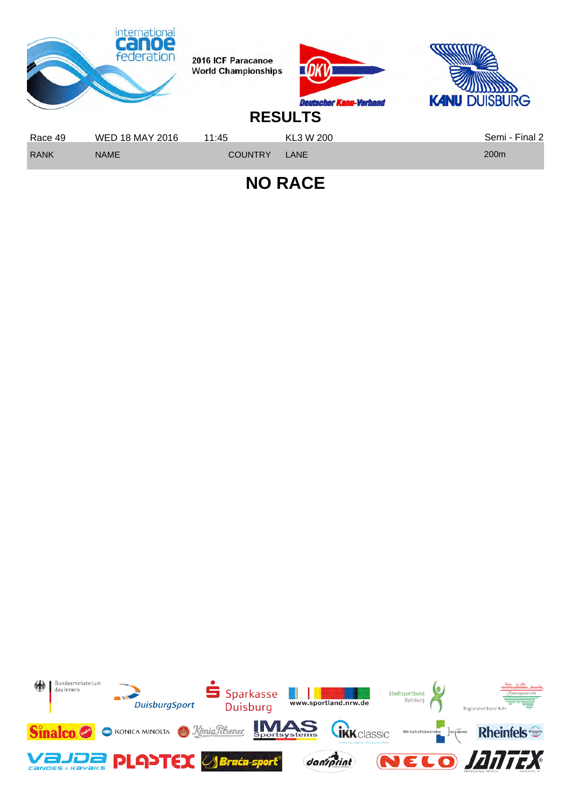

**NO RACE**

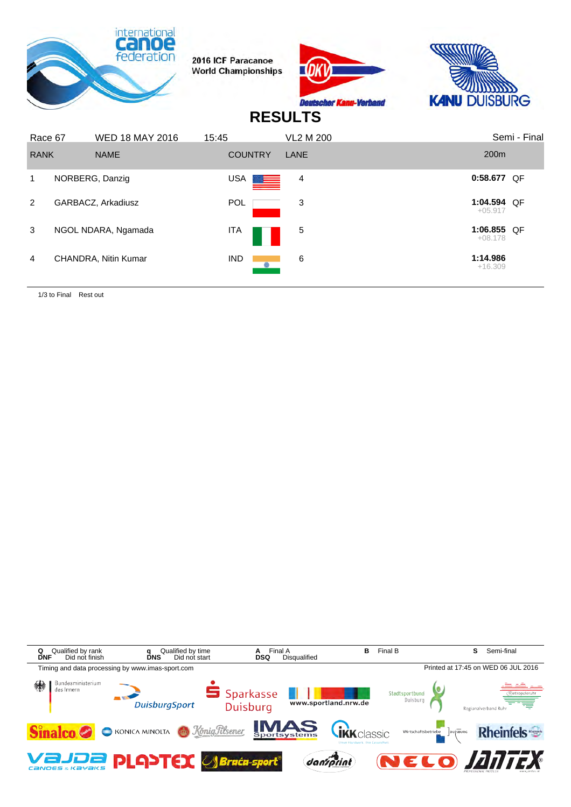

1/3 to Final Rest out

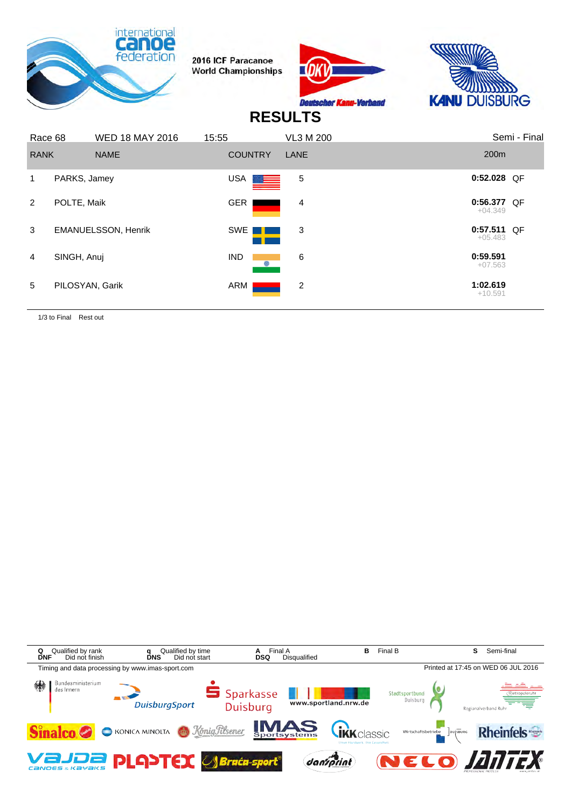





#### **RESULTS**

| Race 68     |                 | <b>WED 18 MAY 2016</b>     | 15:55                                                                                                                                                                                                                                 | VL3 M 200 | Semi - Final             |
|-------------|-----------------|----------------------------|---------------------------------------------------------------------------------------------------------------------------------------------------------------------------------------------------------------------------------------|-----------|--------------------------|
| <b>RANK</b> |                 | <b>NAME</b>                | <b>COUNTRY</b>                                                                                                                                                                                                                        | LANE      | 200 <sub>m</sub>         |
| 1.          | PARKS, Jamey    |                            | USA <b>de la partid de la partid de la partid de la partid de la partid de la partid de la partid de la partid d</b><br>De la partid de la partid de la partid de la partid de la partid de la partid de la partid de la partid de la | 5         | $0:52.028$ QF            |
| 2           | POLTE, Maik     |                            | <b>GER</b>                                                                                                                                                                                                                            | 4         | 0:56.377 QF<br>$+04.349$ |
| 3           |                 | <b>EMANUELSSON, Henrik</b> | SWE                                                                                                                                                                                                                                   | 3         | 0:57.511 QF<br>$+05.483$ |
| 4           | SINGH, Anuj     |                            | <b>IND</b>                                                                                                                                                                                                                            | 6         | 0:59.591<br>$+07.563$    |
| 5           | PILOSYAN, Garik |                            | ARM                                                                                                                                                                                                                                   | 2         | 1:02.619<br>$+10.591$    |

1/3 to Final Rest out

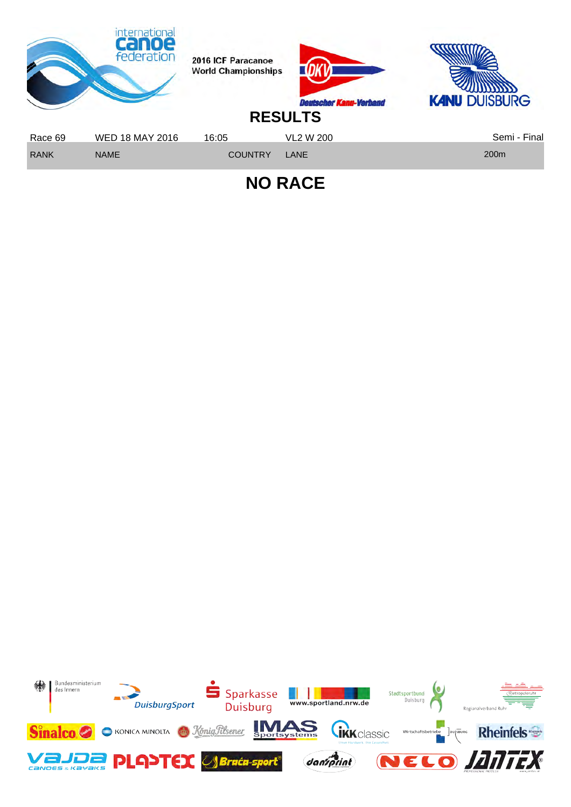

**NO RACE**

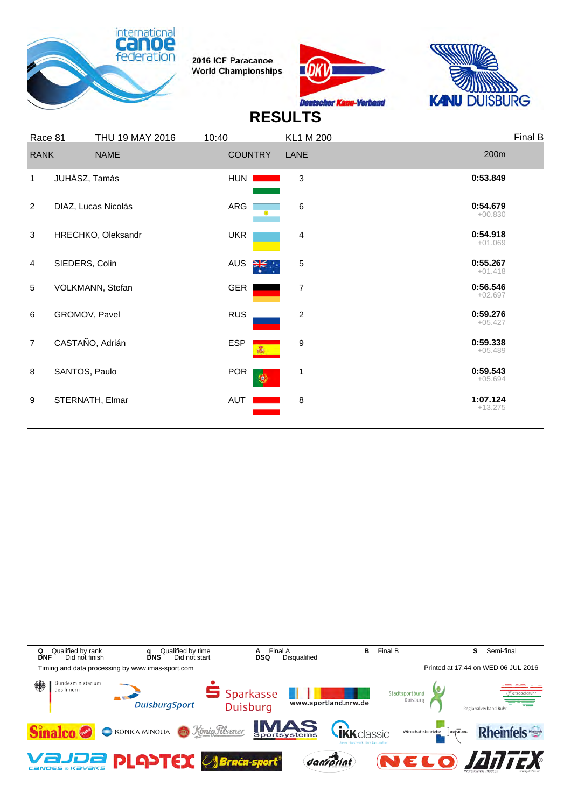





|                | Race 81        | THU 19 MAY 2016     | 10:40                   | <b>KL1 M 200</b>        |                       | Final B |
|----------------|----------------|---------------------|-------------------------|-------------------------|-----------------------|---------|
| <b>RANK</b>    |                | <b>NAME</b>         | <b>COUNTRY</b>          | LANE                    | 200m                  |         |
| $\mathbf{1}$   | JUHÁSZ, Tamás  |                     | <b>HUN</b>              | 3                       | 0:53.849              |         |
| $\overline{2}$ |                | DIAZ, Lucas Nicolás | ARG<br>۳                | 6                       | 0:54.679<br>$+00.830$ |         |
| 3              |                | HRECHKO, Oleksandr  | <b>UKR</b>              | 4                       | 0:54.918<br>$+01.069$ |         |
| $\overline{4}$ | SIEDERS, Colin |                     | <b>AUS</b><br>楽.        | 5                       | 0:55.267<br>$+01.418$ |         |
| 5              |                | VOLKMANN, Stefan    | <b>GER</b>              | 7                       | 0:56.546<br>$+02.697$ |         |
| 6              | GROMOV, Pavel  |                     | <b>RUS</b>              | $\overline{\mathbf{c}}$ | 0:59.276<br>$+05.427$ |         |
| $\overline{7}$ |                | CASTAÑO, Adrián     | <b>ESP</b>              | 9                       | 0:59.338<br>$+05.489$ |         |
| 8              | SANTOS, Paulo  |                     | <b>POR</b><br>$\bullet$ | 1                       | 0:59.543<br>$+05.694$ |         |
| 9              |                | STERNATH, Elmar     | AUT                     | 8                       | 1:07.124<br>$+13.275$ |         |
|                |                |                     |                         |                         |                       |         |

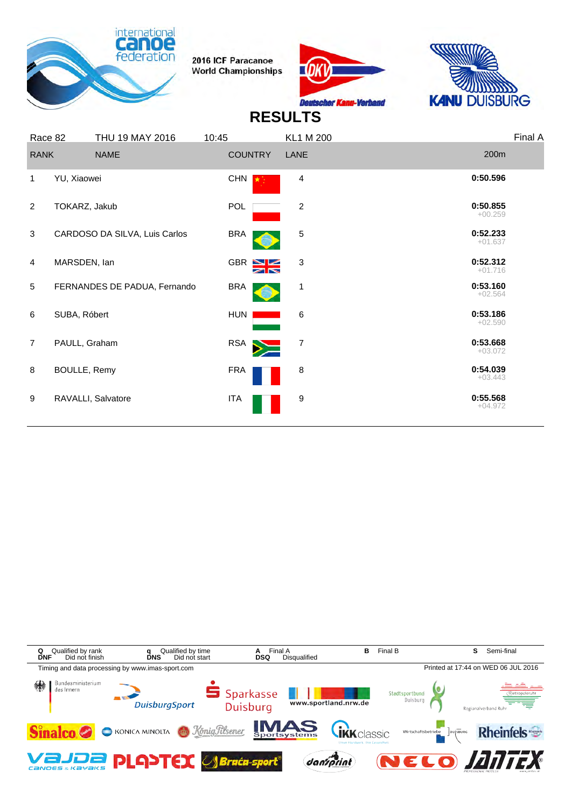





| Race 82        |               | THU 19 MAY 2016               | 10:45      |                | <b>KL1 M 200</b>        |                       | Final A |
|----------------|---------------|-------------------------------|------------|----------------|-------------------------|-----------------------|---------|
| <b>RANK</b>    |               | <b>NAME</b>                   |            | <b>COUNTRY</b> | LANE                    | 200m                  |         |
| 1              | YU, Xiaowei   |                               | <b>CHN</b> |                | 4                       | 0:50.596              |         |
| $\overline{2}$ | TOKARZ, Jakub |                               | <b>POL</b> |                | $\overline{\mathbf{c}}$ | 0:50.855<br>$+00.259$ |         |
| 3              |               | CARDOSO DA SILVA, Luis Carlos | <b>BRA</b> |                | 5                       | 0:52.233<br>$+01.637$ |         |
| $\overline{4}$ | MARSDEN, lan  |                               |            | GBR S          | 3                       | 0:52.312<br>$+01.716$ |         |
| 5              |               | FERNANDES DE PADUA, Fernando  | <b>BRA</b> |                | 1                       | 0:53.160<br>$+02.564$ |         |
| 6              | SUBA, Róbert  |                               | <b>HUN</b> |                | 6                       | 0:53.186<br>$+02.590$ |         |
| $\overline{7}$ | PAULL, Graham |                               | RSA        |                | $\overline{7}$          | 0:53.668<br>$+03.072$ |         |
| 8              | BOULLE, Remy  |                               | <b>FRA</b> |                | 8                       | 0:54.039<br>$+03.443$ |         |
| 9              |               | RAVALLI, Salvatore            | ITA        |                | 9                       | 0:55.568<br>$+04.972$ |         |
|                |               |                               |            |                |                         |                       |         |

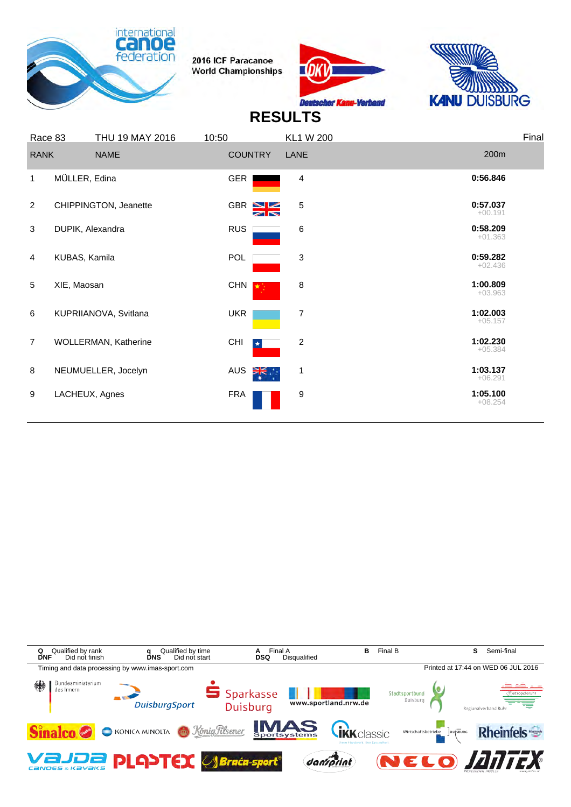





|                | Race 83       | THU 19 MAY 2016       | 10:50                          | <b>KL1 W 200</b> | Final                 |  |
|----------------|---------------|-----------------------|--------------------------------|------------------|-----------------------|--|
| <b>RANK</b>    |               | <b>NAME</b>           | <b>COUNTRY</b>                 | LANE             | 200m                  |  |
| 1              | MÜLLER, Edina |                       | <b>GER</b>                     | 4                | 0:56.846              |  |
| $\overline{2}$ |               | CHIPPINGTON, Jeanette | $GBR \geq 2$<br>$\blacksquare$ | 5                | 0:57.037<br>$+00.191$ |  |
| 3              |               | DUPIK, Alexandra      | <b>RUS</b>                     | 6                | 0:58.209<br>$+01.363$ |  |
| 4              | KUBAS, Kamila |                       | POL                            | 3                | 0:59.282<br>$+02.436$ |  |
| 5              | XIE, Maosan   |                       | <b>CHN</b>                     | 8                | 1:00.809<br>$+03.963$ |  |
| 6              |               | KUPRIIANOVA, Svitlana | <b>UKR</b>                     | 7                | 1:02.003<br>$+05.157$ |  |
| $\overline{7}$ |               | WOLLERMAN, Katherine  | CHI<br>$\star$                 | $\overline{c}$   | 1:02.230<br>$+05.384$ |  |
| 8              |               | NEUMUELLER, Jocelyn   | <b>AUS</b><br>⋛.               | 1                | 1:03.137<br>$+06.291$ |  |
| 9              |               | LACHEUX, Agnes        | <b>FRA</b>                     | 9                | 1:05.100<br>$+08.254$ |  |
|                |               |                       |                                |                  |                       |  |

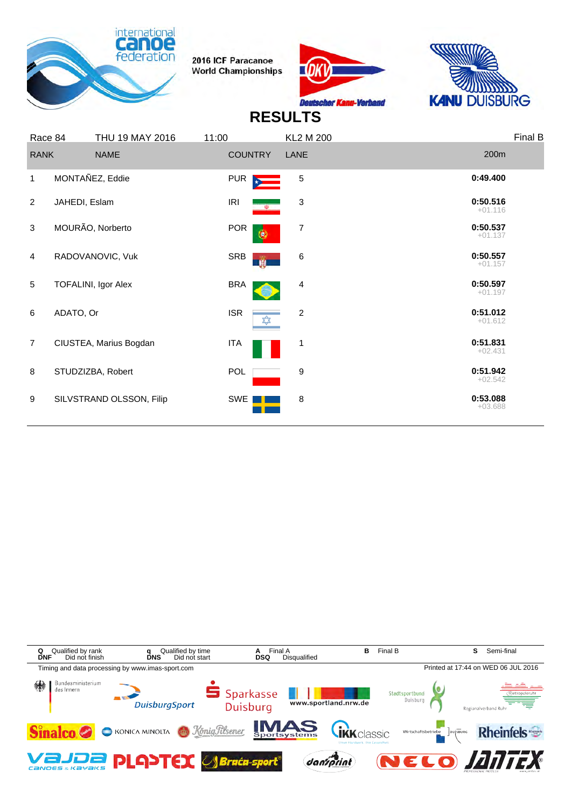





|                | Race 84       | THU 19 MAY 2016          | 11:00          | <b>KL2 M 200</b>            |                       | Final B |
|----------------|---------------|--------------------------|----------------|-----------------------------|-----------------------|---------|
|                | <b>RANK</b>   | <b>NAME</b>              | <b>COUNTRY</b> | LANE                        | 200m                  |         |
| 1              |               | MONTAÑEZ, Eddie          | <b>PUR</b>     | 5                           | 0:49.400              |         |
| 2              | JAHEDI, Eslam |                          | IRI            | 3<br>$\langle \Psi \rangle$ | 0:50.516<br>$+01.116$ |         |
| 3              |               | MOURÃO, Norberto         | <b>POR</b>     | 7<br>۰                      | 0:50.537<br>$+01.137$ |         |
| $\overline{4}$ |               | RADOVANOVIC, Vuk         | SRB            | 6<br>$\mathbf{u}$           | 0:50.557<br>$+01.157$ |         |
| 5              |               | TOFALINI, Igor Alex      | <b>BRA</b>     | 4                           | 0:50.597<br>$+01.197$ |         |
| 6              | ADATO, Or     |                          | <b>ISR</b>     | $\boldsymbol{2}$            | 0:51.012<br>$+01.612$ |         |
| $\overline{7}$ |               | CIUSTEA, Marius Bogdan   | <b>ITA</b>     | 1                           | 0:51.831<br>$+02.431$ |         |
| 8              |               | STUDZIZBA, Robert        | POL            | 9                           | 0:51.942<br>$+02.542$ |         |
| 9              |               | SILVSTRAND OLSSON, Filip | SWE            | 8                           | 0:53.088<br>$+03.688$ |         |
|                |               |                          |                |                             |                       |         |

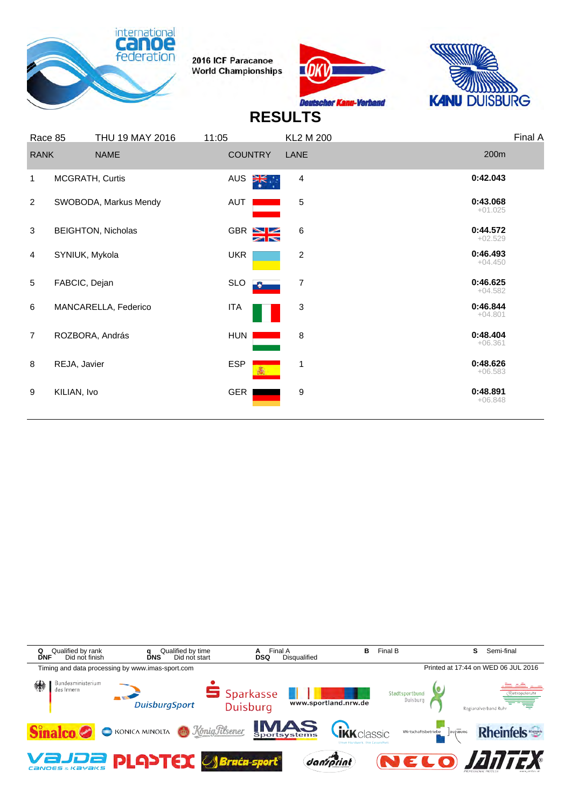





| Race 85        |                 | THU 19 MAY 2016           | 11:05      |                                     | <b>KL2 M 200</b> |                       | Final A |
|----------------|-----------------|---------------------------|------------|-------------------------------------|------------------|-----------------------|---------|
| <b>RANK</b>    |                 | <b>NAME</b>               |            | <b>COUNTRY</b>                      | LANE             | 200m                  |         |
| 1              | MCGRATH, Curtis |                           | <b>AUS</b> | $\frac{1}{\sqrt{K}}$ .              | 4                | 0:42.043              |         |
| 2              |                 | SWOBODA, Markus Mendy     | <b>AUT</b> |                                     | 5                | 0:43.068<br>$+01.025$ |         |
| 3              |                 | <b>BEIGHTON, Nicholas</b> |            | GBR <sup>NZ</sup><br>$\blacksquare$ | 6                | 0:44.572<br>$+02.529$ |         |
| 4              | SYNIUK, Mykola  |                           | <b>UKR</b> |                                     | 2                | 0:46.493<br>$+04.450$ |         |
| 5              | FABCIC, Dejan   |                           | <b>SLO</b> | Ð                                   | $\boldsymbol{7}$ | 0:46.625<br>$+04.582$ |         |
| 6              |                 | MANCARELLA, Federico      | <b>ITA</b> |                                     | 3                | 0:46.844<br>$+04.801$ |         |
| $\overline{7}$ |                 | ROZBORA, András           | <b>HUN</b> |                                     | 8                | 0:48.404<br>$+06.361$ |         |
| 8              | REJA, Javier    |                           | <b>ESP</b> | 鸁                                   | 1                | 0:48.626<br>$+06.583$ |         |
| 9              | KILIAN, Ivo     |                           | <b>GER</b> |                                     | 9                | 0:48.891<br>$+06.848$ |         |
|                |                 |                           |            |                                     |                  |                       |         |

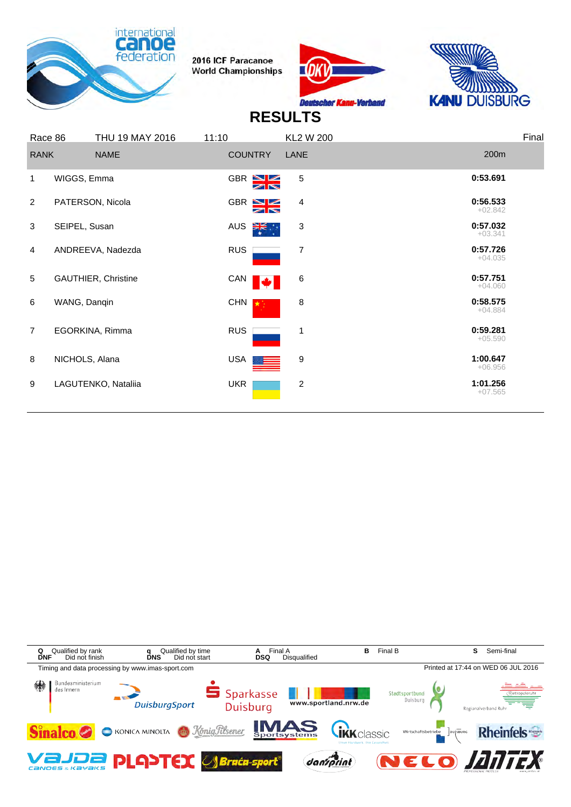





|                | Race 86       | THU 19 MAY 2016            | 11:10                              | KL2 W 200                 | Final                 |
|----------------|---------------|----------------------------|------------------------------------|---------------------------|-----------------------|
|                | <b>RANK</b>   | <b>NAME</b>                | <b>COUNTRY</b>                     | LANE                      | 200m                  |
| 1              | WIGGS, Emma   |                            | GBR $N$<br>$\blacksquare$          | 5                         | 0:53.691              |
| 2              |               | PATERSON, Nicola           | $GBR \triangleq$<br>$\blacksquare$ | 4                         | 0:56.533<br>$+02.842$ |
| 3              | SEIPEL, Susan |                            | AUS<br>≯¥਼                         | $\ensuremath{\mathsf{3}}$ | 0:57.032<br>$+03.341$ |
| 4              |               | ANDREEVA, Nadezda          | <b>RUS</b>                         | 7                         | 0:57.726<br>$+04.035$ |
| 5              |               | <b>GAUTHIER, Christine</b> | CAN                                | 6                         | 0:57.751<br>$+04.060$ |
| 6              | WANG, Dangin  |                            | <b>CHN</b>                         | 8                         | 0:58.575<br>$+04.884$ |
| $\overline{7}$ |               | EGORKINA, Rimma            | <b>RUS</b>                         | 1                         | 0:59.281<br>$+05.590$ |
| 8              |               | NICHOLS, Alana             | <b>USA</b>                         | 9                         | 1:00.647<br>$+06.956$ |
| 9              |               | LAGUTENKO, Nataliia        | <b>UKR</b>                         | $\overline{c}$            | 1:01.256<br>$+07.565$ |
|                |               |                            |                                    |                           |                       |

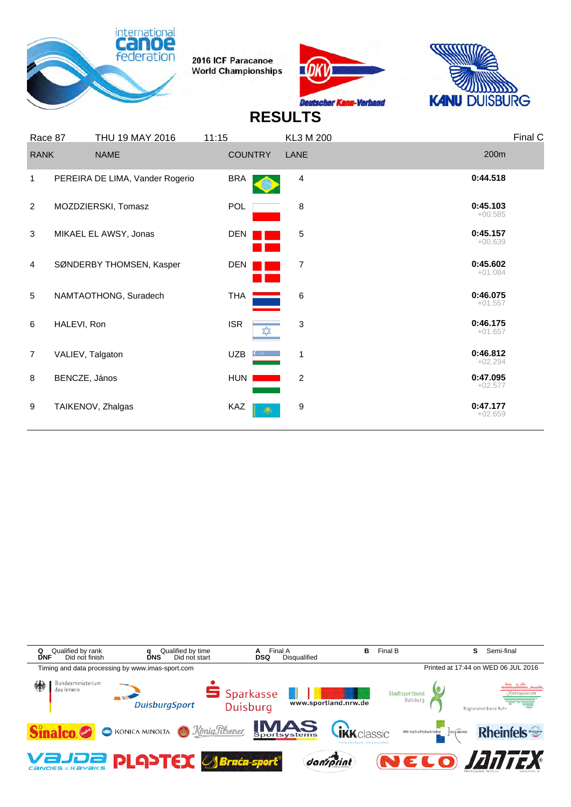





| Race 87        |                  | THU 19 MAY 2016                 | 11:15      |                | KL3 M 200      |                       | Final C |
|----------------|------------------|---------------------------------|------------|----------------|----------------|-----------------------|---------|
| <b>RANK</b>    |                  | <b>NAME</b>                     |            | <b>COUNTRY</b> | LANE           | 200m                  |         |
| 1              |                  | PEREIRA DE LIMA, Vander Rogerio | <b>BRA</b> |                | 4              | 0:44.518              |         |
| 2              |                  | MOZDZIERSKI, Tomasz             | <b>POL</b> |                | 8              | 0:45.103<br>$+00.585$ |         |
| 3              |                  | MIKAEL EL AWSY, Jonas           | DEN        |                | 5              | 0:45.157<br>$+00.639$ |         |
| $\overline{4}$ |                  | SØNDERBY THOMSEN, Kasper        | <b>DEN</b> |                | $\overline{7}$ | 0:45.602<br>$+01.084$ |         |
| 5              |                  | NAMTAOTHONG, Suradech           | <b>THA</b> |                | 6              | 0:46.075<br>$+01.557$ |         |
| 6              | HALEVI, Ron      |                                 | <b>ISR</b> |                | 3              | 0:46.175<br>$+01.657$ |         |
| $\overline{7}$ | VALIEV, Talgaton |                                 | <b>UZB</b> |                | 1              | 0:46.812<br>$+02.294$ |         |
| 8              | BENCZE, János    |                                 | <b>HUN</b> |                | $\overline{c}$ | 0:47.095<br>$+02.577$ |         |
| 9              |                  | TAIKENOV, Zhalgas               | KAZ        | - 19           | 9              | 0:47.177<br>$+02.659$ |         |

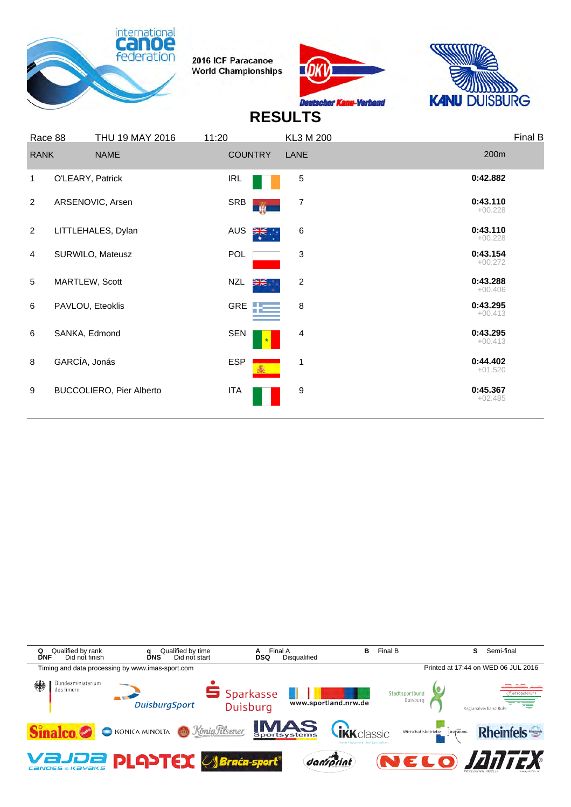





| Race 88        | THU 19 MAY 2016                 | 11:20            | KL3 M 200               |                       | Final B |
|----------------|---------------------------------|------------------|-------------------------|-----------------------|---------|
| <b>RANK</b>    | <b>NAME</b>                     | <b>COUNTRY</b>   | LANE                    | 200m                  |         |
| 1              | O'LEARY, Patrick                | <b>IRL</b>       | 5                       | 0:42.882              |         |
| $\overline{2}$ | ARSENOVIC, Arsen                | SRB<br>n.        | 7                       | 0:43.110<br>$+00.228$ |         |
| $\overline{2}$ | LITTLEHALES, Dylan              | <b>AUS</b><br>≹. | 6                       | 0:43.110<br>$+00.228$ |         |
| $\overline{4}$ | SURWILO, Mateusz                | <b>POL</b>       | 3                       | 0:43.154<br>$+00.272$ |         |
| 5              | MARTLEW, Scott                  | NZL<br>Ж.        | $\overline{\mathbf{c}}$ | 0:43.288<br>$+00.406$ |         |
| 6              | PAVLOU, Eteoklis                | <b>GRE</b>       | 8                       | 0:43.295<br>$+00.413$ |         |
| 6              | SANKA, Edmond                   | <b>SEN</b>       | 4                       | 0:43.295<br>$+00.413$ |         |
| 8              | GARCÍA, Jonás                   | <b>ESP</b>       | 1                       | 0:44.402<br>$+01.520$ |         |
| 9              | <b>BUCCOLIERO, Pier Alberto</b> | <b>ITA</b>       | 9                       | 0:45.367<br>$+02.485$ |         |
|                |                                 |                  |                         |                       |         |

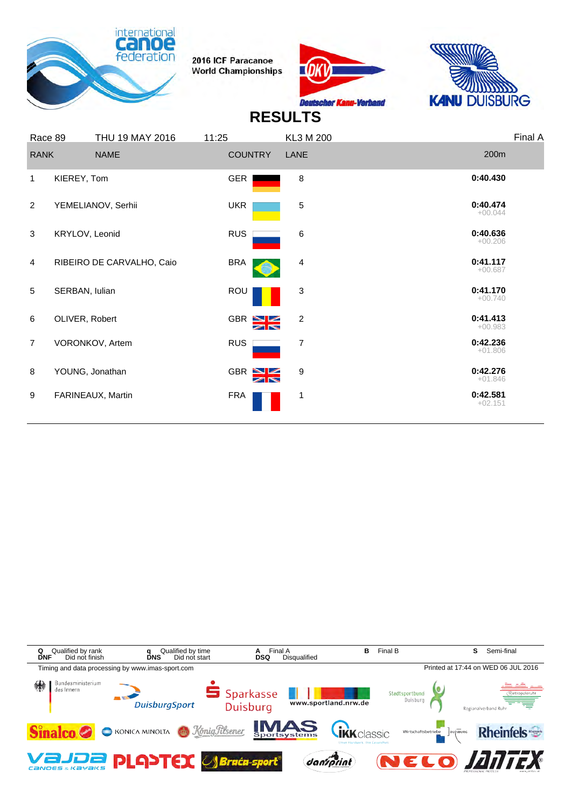





|                | Race 89        | THU 19 MAY 2016           | 11:25          | KL3 M 200      |                       | Final A |
|----------------|----------------|---------------------------|----------------|----------------|-----------------------|---------|
| <b>RANK</b>    |                | <b>NAME</b>               | <b>COUNTRY</b> | LANE           | 200m                  |         |
| 1              | KIEREY, Tom    |                           | <b>GER</b>     | 8              | 0:40.430              |         |
| $\overline{2}$ |                | YEMELIANOV, Serhii        | <b>UKR</b>     | 5              | 0:40.474<br>$+00.044$ |         |
| 3              | KRYLOV, Leonid |                           | <b>RUS</b>     | 6              | 0:40.636<br>$+00.206$ |         |
| 4              |                | RIBEIRO DE CARVALHO, Caio | <b>BRA</b>     | 4              | 0:41.117<br>$+00.687$ |         |
| 5              | SERBAN, lulian |                           | ROU            | 3              | 0:41.170<br>$+00.740$ |         |
| 6              | OLIVER, Robert |                           | GBR SK         | $\overline{2}$ | 0:41.413<br>$+00.983$ |         |
| $\overline{7}$ |                | VORONKOV, Artem           | <b>RUS</b>     | 7              | 0:42.236<br>$+01.806$ |         |
| 8              |                | YOUNG, Jonathan           | GBR N          | 9              | 0:42.276<br>$+01.846$ |         |
| 9              |                | FARINEAUX, Martin         | <b>FRA</b>     | 1              | 0:42.581<br>$+02.151$ |         |
|                |                |                           |                |                |                       |         |

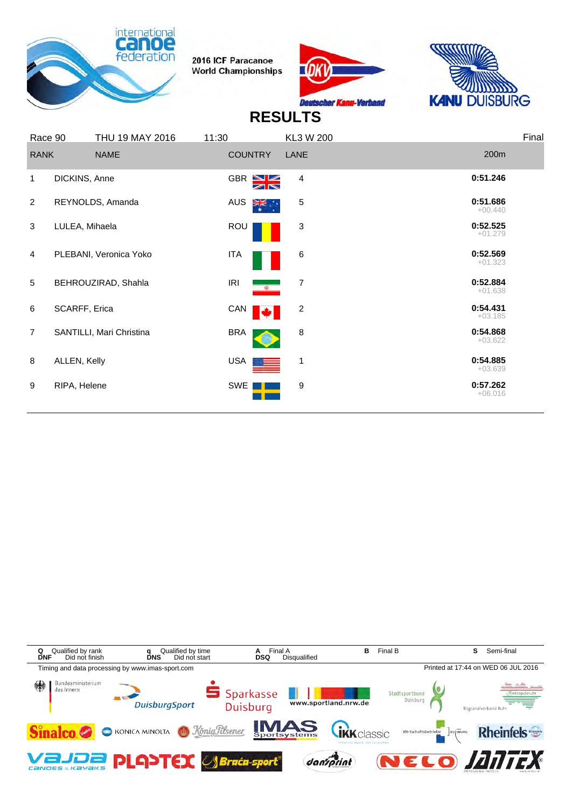





|                | Race 90        | THU 19 MAY 2016          | 11:30                          | KL3 W 200      | Final                 |
|----------------|----------------|--------------------------|--------------------------------|----------------|-----------------------|
| <b>RANK</b>    |                | <b>NAME</b>              | <b>COUNTRY</b>                 | LANE           | 200m                  |
| $\mathbf{1}$   | DICKINS, Anne  |                          | $GBR \geq 1$<br>$\blacksquare$ | 4              | 0:51.246              |
| $\overline{2}$ |                | REYNOLDS, Amanda         | AUS<br>∛हं∵                    | 5              | 0:51.686<br>$+00.440$ |
| 3              | LULEA, Mihaela |                          | ROU                            | 3              | 0:52.525<br>$+01.279$ |
| $\overline{4}$ |                | PLEBANI, Veronica Yoko   | <b>ITA</b>                     | 6              | 0:52.569<br>$+01.323$ |
| 5              |                | BEHROUZIRAD, Shahla      | <b>IRI</b><br>$\rightarrow$    | 7              | 0:52.884<br>$+01.638$ |
| 6              | SCARFF, Erica  |                          | CAN                            | $\overline{c}$ | 0:54.431<br>$+03.185$ |
| $\overline{7}$ |                | SANTILLI, Mari Christina | <b>BRA</b>                     | 8              | 0:54.868<br>$+03.622$ |
| 8              | ALLEN, Kelly   |                          | USA                            | $\mathbf{1}$   | 0:54.885<br>$+03.639$ |
| 9              | RIPA, Helene   |                          | SWE                            | 9              | 0:57.262<br>$+06.016$ |
|                |                |                          |                                |                |                       |

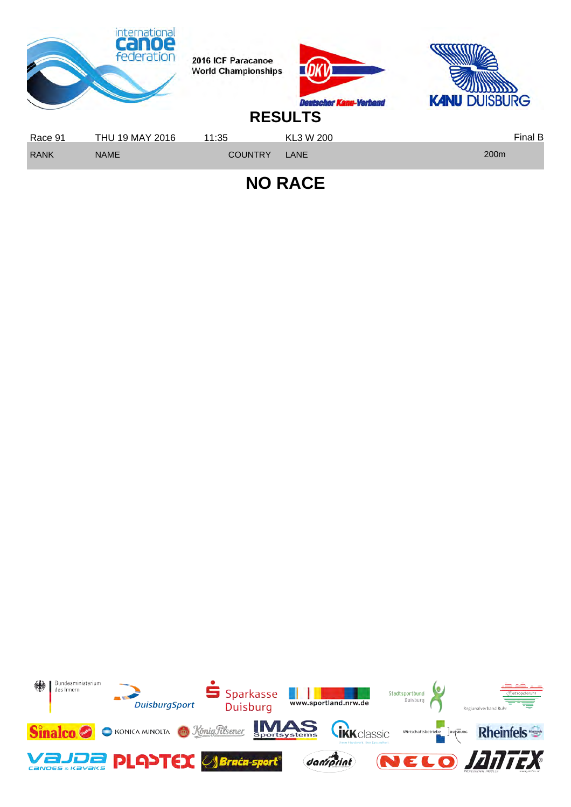

**NO RACE**

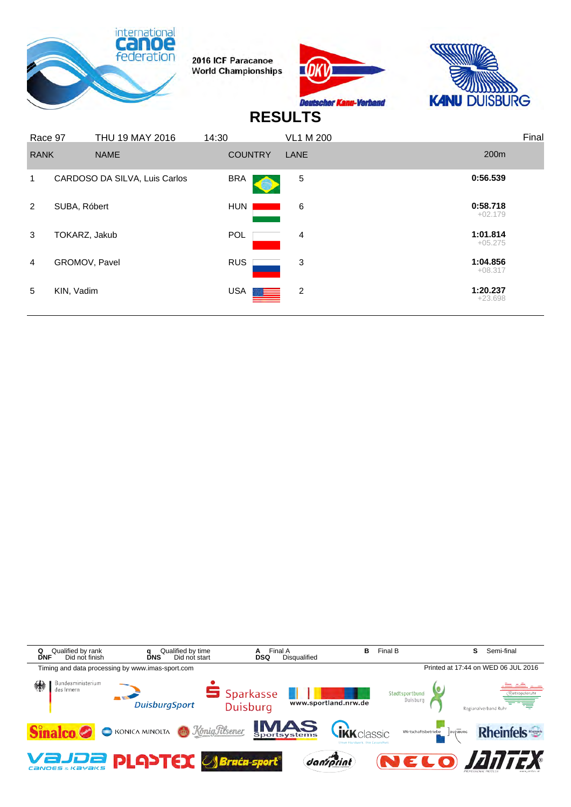

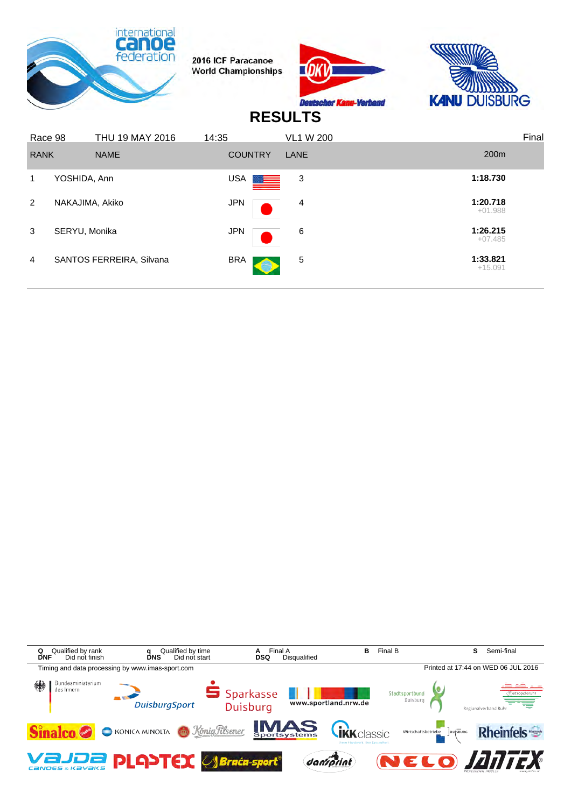|             |                 | <u>International</u><br>federation | 2016 ICF Paracanoe<br><b>World Championships</b> |                | <b>Deutscher</b><br><b>Chill-</b> To the Line<br><b>RESULTS</b> | <b>KANU DUISBURG</b> |                       |
|-------------|-----------------|------------------------------------|--------------------------------------------------|----------------|-----------------------------------------------------------------|----------------------|-----------------------|
| Race 98     |                 | THU 19 MAY 2016                    | 14:35                                            |                | <b>VL1 W 200</b>                                                |                      | Final                 |
| <b>RANK</b> |                 | <b>NAME</b>                        |                                                  | <b>COUNTRY</b> | <b>LANE</b>                                                     |                      | 200m                  |
| 1           | YOSHIDA, Ann    |                                    | USA                                              |                | 3                                                               |                      | 1:18.730              |
| 2           | NAKAJIMA, Akiko |                                    | <b>JPN</b>                                       |                | 4                                                               |                      | 1:20.718<br>$+01.988$ |
| 3           | SERYU, Monika   |                                    | <b>JPN</b>                                       |                | 6                                                               |                      | 1:26.215<br>$+07.485$ |
| 4           |                 | SANTOS FERREIRA, Silvana           | <b>BRA</b>                                       |                | 5                                                               |                      | 1:33.821<br>$+15.091$ |

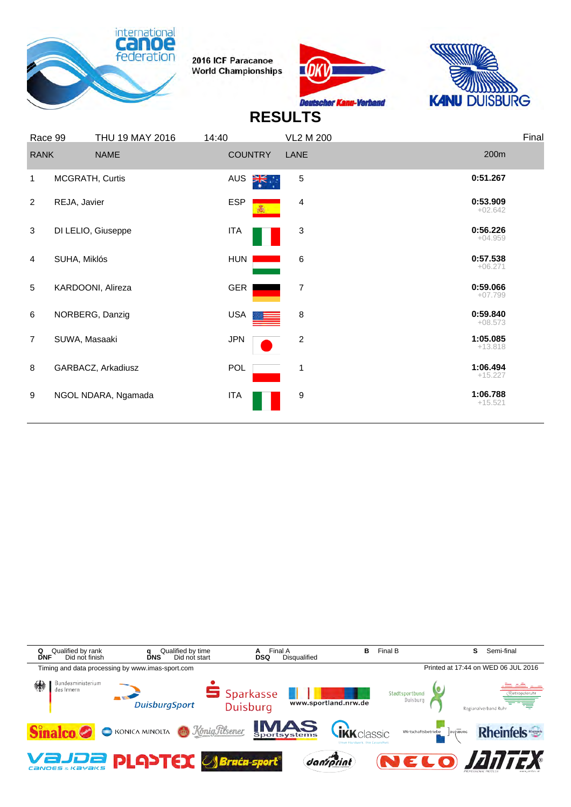





|                | Race 99       | THU 19 MAY 2016     | 14:40                       | <b>VL2 M 200</b>        | Final                 |
|----------------|---------------|---------------------|-----------------------------|-------------------------|-----------------------|
| <b>RANK</b>    |               | <b>NAME</b>         | <b>COUNTRY</b>              | LANE                    | 200m                  |
| 1              |               | MCGRATH, Curtis     | <b>AUS</b><br>$\frac{1}{2}$ | 5                       | 0:51.267              |
| 2              | REJA, Javier  |                     | <b>ESP</b>                  | 4                       | 0:53.909<br>$+02.642$ |
| 3              |               | DI LELIO, Giuseppe  | <b>ITA</b>                  | 3                       | 0:56.226<br>$+04.959$ |
| 4              | SUHA, Miklós  |                     | <b>HUN</b>                  | 6                       | 0:57.538<br>$+06.271$ |
| 5              |               | KARDOONI, Alireza   | GER                         | $\overline{7}$          | 0:59.066<br>$+07.799$ |
| 6              |               | NORBERG, Danzig     | USA                         | 8                       | 0:59.840<br>$+08.573$ |
| $\overline{7}$ | SUWA, Masaaki |                     | <b>JPN</b>                  | $\overline{\mathbf{c}}$ | 1:05.085<br>$+13.818$ |
| 8              |               | GARBACZ, Arkadiusz  | POL                         | 1                       | 1:06.494<br>$+15.227$ |
| 9              |               | NGOL NDARA, Ngamada | <b>ITA</b>                  | 9                       | 1:06.788<br>$+15.521$ |
|                |               |                     |                             |                         |                       |

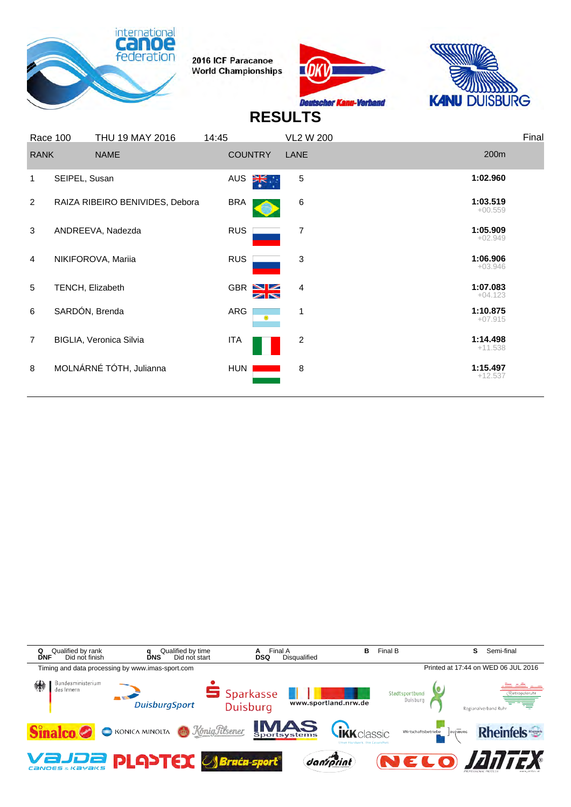





|                | Race 100         | THU 19 MAY 2016                 | 14:45      |                   | <b>VL2 W 200</b> |                       | Final |
|----------------|------------------|---------------------------------|------------|-------------------|------------------|-----------------------|-------|
| <b>RANK</b>    |                  | <b>NAME</b>                     |            | <b>COUNTRY</b>    | LANE             | 200m                  |       |
| 1              | SEIPEL, Susan    |                                 | <b>AUS</b> | ॉ≍                | 5                | 1:02.960              |       |
| $\overline{2}$ |                  | RAIZA RIBEIRO BENIVIDES, Debora | <b>BRA</b> |                   | 6                | 1:03.519<br>$+00.559$ |       |
| 3              |                  | ANDREEVA, Nadezda               | <b>RUS</b> |                   | 7                | 1:05.909<br>$+02.949$ |       |
| $\overline{4}$ |                  | NIKIFOROVA, Mariia              | <b>RUS</b> |                   | 3                | 1:06.906<br>$+03.946$ |       |
| 5              | TENCH, Elizabeth |                                 |            | GBR $N$<br>$\geq$ | 4                | 1:07.083<br>$+04.123$ |       |
| 6              | SARDÓN, Brenda   |                                 | ARG        | $\circledcirc$    | 1                | 1:10.875<br>$+07.915$ |       |
| $\overline{7}$ |                  | BIGLIA, Veronica Silvia         | <b>ITA</b> |                   | 2                | 1:14.498<br>$+11.538$ |       |
| 8              |                  | MOLNÁRNÉ TÓTH, Julianna         | <b>HUN</b> |                   | 8                | 1:15.497<br>$+12.537$ |       |
|                |                  |                                 |            |                   |                  |                       |       |

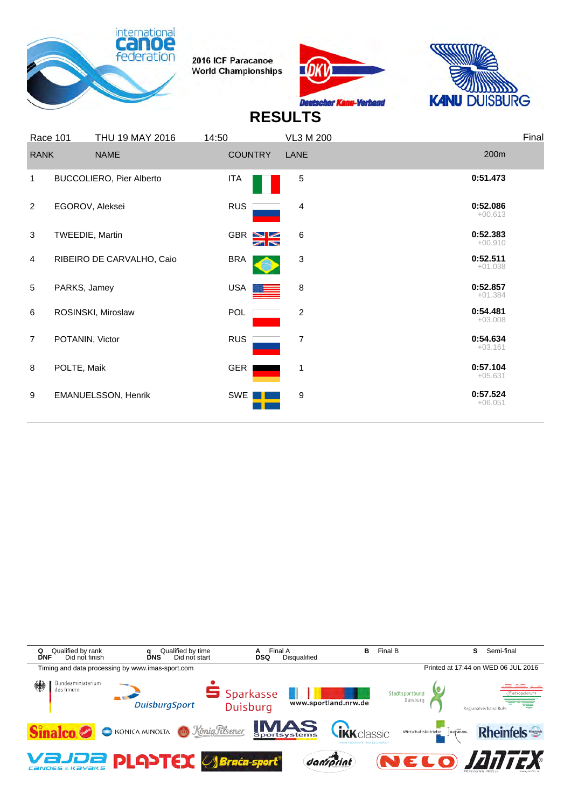





|                | Race 101        | THU 19 MAY 2016           | 14:50          | <b>VL3 M 200</b> | Final                 |
|----------------|-----------------|---------------------------|----------------|------------------|-----------------------|
| <b>RANK</b>    |                 | <b>NAME</b>               | <b>COUNTRY</b> | LANE             | 200m                  |
| $\mathbf{1}$   |                 | BUCCOLIERO, Pier Alberto  | <b>ITA</b>     | 5                | 0:51.473              |
| 2              | EGOROV, Aleksei |                           | <b>RUS</b>     | 4                | 0:52.086<br>$+00.613$ |
| 3              | TWEEDIE, Martin |                           | GBR S          | 6                | 0:52.383<br>$+00.910$ |
| $\overline{4}$ |                 | RIBEIRO DE CARVALHO, Caio | <b>BRA</b>     | 3                | 0:52.511<br>$+01.038$ |
| 5              | PARKS, Jamey    |                           | USA            | 8                | 0:52.857<br>$+01.384$ |
| 6              |                 | ROSINSKI, Miroslaw        | POL            | $\overline{c}$   | 0:54.481<br>$+03.008$ |
| $\overline{7}$ | POTANIN, Victor |                           | <b>RUS</b>     | 7                | 0:54.634<br>$+03.161$ |
| 8              | POLTE, Maik     |                           | GER            | 1                | 0:57.104<br>$+05.631$ |
| 9              |                 | EMANUELSSON, Henrik       | SWE            | 9                | 0:57.524<br>$+06.051$ |
|                |                 |                           |                |                  |                       |